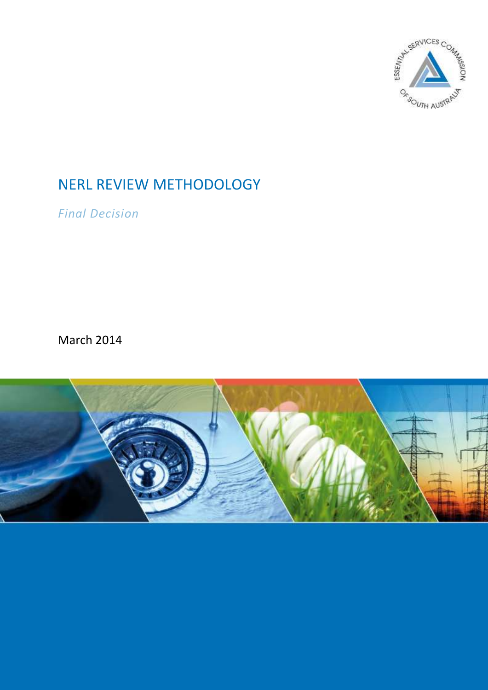

# NERL REVIEW METHODOLOGY

*Final Decision*

March 2014

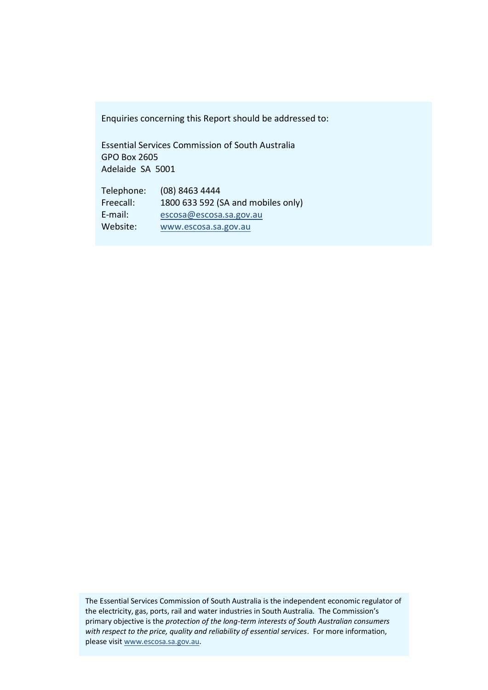Enquiries concerning this Report should be addressed to:

Essential Services Commission of South Australia GPO Box 2605 Adelaide SA 5001

Telephone: (08) 8463 4444 Freecall: 1800 633 592 (SA and mobiles only) E-mail: [escosa@escosa.sa.gov.au](mailto:escosa@escosa.sa.gov.au) Website: [www.escosa.sa.gov.au](http://www.escosa.sa.gov.au/)

The Essential Services Commission of South Australia is the independent economic regulator of the electricity, gas, ports, rail and water industries in South Australia. The Commission's primary objective is the *protection of the long-term interests of South Australian consumers with respect to the price, quality and reliability of essential services*. For more information, please visi[t www.escosa.sa.gov.au.](http://www.escosa.sa.gov.au/)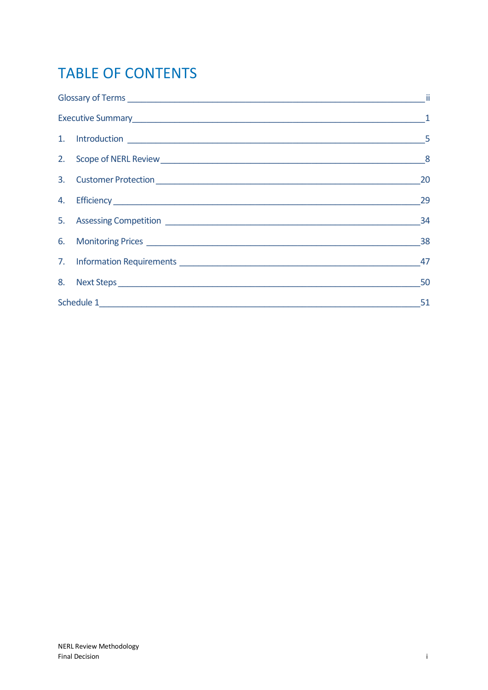# **TABLE OF CONTENTS**

|  | 20 |
|--|----|
|  | 29 |
|  | 34 |
|  |    |
|  | 47 |
|  | 50 |
|  | 51 |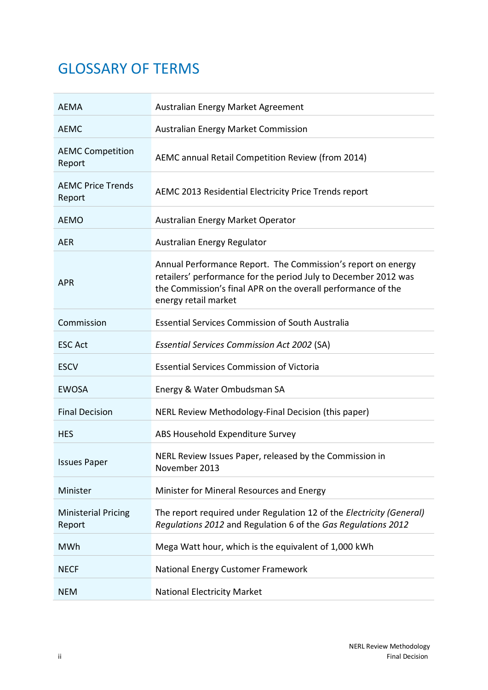# <span id="page-3-0"></span>GLOSSARY OF TERMS

| <b>AEMA</b>                          | Australian Energy Market Agreement                                                                                                                                                                                      |  |  |  |
|--------------------------------------|-------------------------------------------------------------------------------------------------------------------------------------------------------------------------------------------------------------------------|--|--|--|
| <b>AEMC</b>                          | <b>Australian Energy Market Commission</b>                                                                                                                                                                              |  |  |  |
| <b>AEMC Competition</b><br>Report    | AEMC annual Retail Competition Review (from 2014)                                                                                                                                                                       |  |  |  |
| <b>AEMC Price Trends</b><br>Report   | AEMC 2013 Residential Electricity Price Trends report                                                                                                                                                                   |  |  |  |
| <b>AEMO</b>                          | Australian Energy Market Operator                                                                                                                                                                                       |  |  |  |
| <b>AER</b>                           | Australian Energy Regulator                                                                                                                                                                                             |  |  |  |
| <b>APR</b>                           | Annual Performance Report. The Commission's report on energy<br>retailers' performance for the period July to December 2012 was<br>the Commission's final APR on the overall performance of the<br>energy retail market |  |  |  |
| Commission                           | <b>Essential Services Commission of South Australia</b>                                                                                                                                                                 |  |  |  |
| <b>ESC Act</b>                       | <b>Essential Services Commission Act 2002 (SA)</b>                                                                                                                                                                      |  |  |  |
| <b>ESCV</b>                          | <b>Essential Services Commission of Victoria</b>                                                                                                                                                                        |  |  |  |
| <b>EWOSA</b>                         | Energy & Water Ombudsman SA                                                                                                                                                                                             |  |  |  |
| <b>Final Decision</b>                | NERL Review Methodology-Final Decision (this paper)                                                                                                                                                                     |  |  |  |
| <b>HES</b>                           | ABS Household Expenditure Survey                                                                                                                                                                                        |  |  |  |
| <b>Issues Paper</b>                  | NERL Review Issues Paper, released by the Commission in<br>November 2013                                                                                                                                                |  |  |  |
| Minister                             | Minister for Mineral Resources and Energy                                                                                                                                                                               |  |  |  |
| <b>Ministerial Pricing</b><br>Report | The report required under Regulation 12 of the Electricity (General)<br>Regulations 2012 and Regulation 6 of the Gas Regulations 2012                                                                                   |  |  |  |
| <b>MWh</b>                           | Mega Watt hour, which is the equivalent of 1,000 kWh                                                                                                                                                                    |  |  |  |
| <b>NECF</b>                          | National Energy Customer Framework                                                                                                                                                                                      |  |  |  |
| <b>NEM</b>                           | <b>National Electricity Market</b>                                                                                                                                                                                      |  |  |  |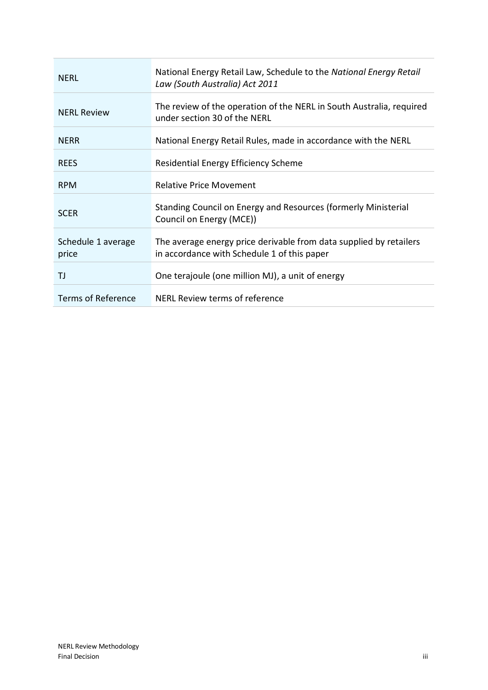| <b>NFRL</b>                 | National Energy Retail Law, Schedule to the National Energy Retail<br>Law (South Australia) Act 2011              |
|-----------------------------|-------------------------------------------------------------------------------------------------------------------|
| <b>NERL Review</b>          | The review of the operation of the NERL in South Australia, required<br>under section 30 of the NERL              |
| <b>NFRR</b>                 | National Energy Retail Rules, made in accordance with the NERL                                                    |
| <b>RFFS</b>                 | Residential Energy Efficiency Scheme                                                                              |
| <b>RPM</b>                  | <b>Relative Price Movement</b>                                                                                    |
| <b>SCER</b>                 | Standing Council on Energy and Resources (formerly Ministerial<br>Council on Energy (MCE))                        |
| Schedule 1 average<br>price | The average energy price derivable from data supplied by retailers<br>in accordance with Schedule 1 of this paper |
| ΤJ                          | One terajoule (one million MJ), a unit of energy                                                                  |
| <b>Terms of Reference</b>   | NERL Review terms of reference                                                                                    |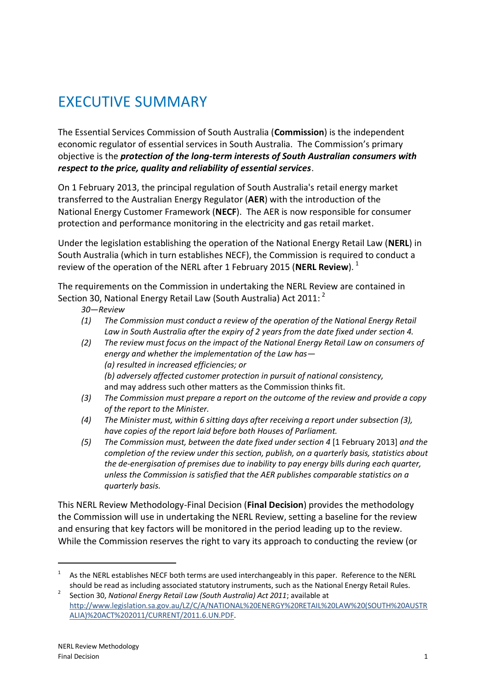# <span id="page-6-0"></span>EXECUTIVE SUMMARY

The Essential Services Commission of South Australia (**Commission**) is the independent economic regulator of essential services in South Australia. The Commission's primary objective is the *protection of the long-term interests of South Australian consumers with respect to the price, quality and reliability of essential services*.

On 1 February 2013, the principal regulation of South Australia's retail energy market transferred to the Australian Energy Regulator (**AER**) with the introduction of the National Energy Customer Framework (**NECF**). The AER is now responsible for consumer protection and performance monitoring in the electricity and gas retail market.

Under the legislation establishing the operation of the National Energy Retail Law (**NERL**) in South Australia (which in turn establishes NECF), the Commission is required to conduct a review of the operation of the NERL after 1 February 2015 (**NERL Review**). 1

The requirements on the Commission in undertaking the NERL Review are contained in Section 30, National Energy Retail Law (South Australia) Act 2011:  $^{2}$ 

### *30—Review*

- *(1) The Commission must conduct a review of the operation of the National Energy Retail Law in South Australia after the expiry of 2 years from the date fixed under section 4.*
- *(2) The review must focus on the impact of the National Energy Retail Law on consumers of energy and whether the implementation of the Law has— (a) resulted in increased efficiencies; or (b) adversely affected customer protection in pursuit of national consistency,* and may address such other matters as the Commission thinks fit.
- *(3) The Commission must prepare a report on the outcome of the review and provide a copy of the report to the Minister.*
- *(4) The Minister must, within 6 sitting days after receiving a report under subsection (3), have copies of the report laid before both Houses of Parliament.*
- *(5) The Commission must, between the date fixed under section 4* [1 February 2013] *and the completion of the review under this section, publish, on a quarterly basis, statistics about the de-energisation of premises due to inability to pay energy bills during each quarter, unless the Commission is satisfied that the AER publishes comparable statistics on a quarterly basis.*

This NERL Review Methodology-Final Decision (**Final Decision**) provides the methodology the Commission will use in undertaking the NERL Review, setting a baseline for the review and ensuring that key factors will be monitored in the period leading up to the review. While the Commission reserves the right to vary its approach to conducting the review (or

<sup>1</sup> As the NERL establishes NECF both terms are used interchangeably in this paper. Reference to the NERL should be read as including associated statutory instruments, such as the National Energy Retail Rules.

<sup>2</sup> Section 30, *National Energy Retail Law (South Australia) Act 2011*; available at [http://www.legislation.sa.gov.au/LZ/C/A/NATIONAL%20ENERGY%20RETAIL%20LAW%20\(SOUTH%20AUSTR](http://www.legislation.sa.gov.au/LZ/C/A/NATIONAL%20ENERGY%20RETAIL%20LAW%20(SOUTH%20AUSTRALIA)%20ACT%202011/CURRENT/2011.6.UN.PDF) [ALIA\)%20ACT%202011/CURRENT/2011.6.UN.PDF.](http://www.legislation.sa.gov.au/LZ/C/A/NATIONAL%20ENERGY%20RETAIL%20LAW%20(SOUTH%20AUSTRALIA)%20ACT%202011/CURRENT/2011.6.UN.PDF)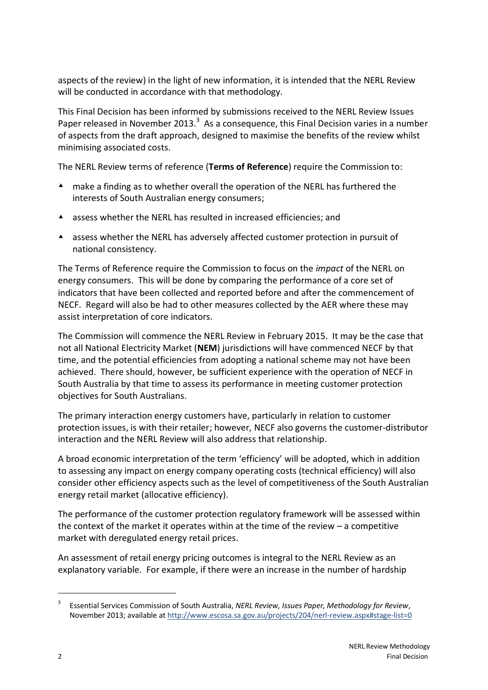aspects of the review) in the light of new information, it is intended that the NERL Review will be conducted in accordance with that methodology.

This Final Decision has been informed by submissions received to the NERL Review Issues Paper released in November 2013.<sup>3</sup> As a consequence, this Final Decision varies in a number of aspects from the draft approach, designed to maximise the benefits of the review whilst minimising associated costs.

The NERL Review terms of reference (**Terms of Reference**) require the Commission to:

- make a finding as to whether overall the operation of the NERL has furthered the interests of South Australian energy consumers;
- assess whether the NERL has resulted in increased efficiencies; and
- assess whether the NERL has adversely affected customer protection in pursuit of national consistency.

The Terms of Reference require the Commission to focus on the *impact* of the NERL on energy consumers. This will be done by comparing the performance of a core set of indicators that have been collected and reported before and after the commencement of NECF. Regard will also be had to other measures collected by the AER where these may assist interpretation of core indicators.

The Commission will commence the NERL Review in February 2015. It may be the case that not all National Electricity Market (**NEM**) jurisdictions will have commenced NECF by that time, and the potential efficiencies from adopting a national scheme may not have been achieved. There should, however, be sufficient experience with the operation of NECF in South Australia by that time to assess its performance in meeting customer protection objectives for South Australians.

The primary interaction energy customers have, particularly in relation to customer protection issues, is with their retailer; however, NECF also governs the customer-distributor interaction and the NERL Review will also address that relationship.

A broad economic interpretation of the term 'efficiency' will be adopted, which in addition to assessing any impact on energy company operating costs (technical efficiency) will also consider other efficiency aspects such as the level of competitiveness of the South Australian energy retail market (allocative efficiency).

The performance of the customer protection regulatory framework will be assessed within the context of the market it operates within at the time of the review – a competitive market with deregulated energy retail prices.

An assessment of retail energy pricing outcomes is integral to the NERL Review as an explanatory variable. For example, if there were an increase in the number of hardship

<sup>3</sup> Essential Services Commission of South Australia, *NERL Review, Issues Paper, Methodology for Review*, November 2013; available a[t http://www.escosa.sa.gov.au/projects/204/nerl-review.aspx#stage-list=0](http://www.escosa.sa.gov.au/projects/204/nerl-review.aspx#stage-list=0)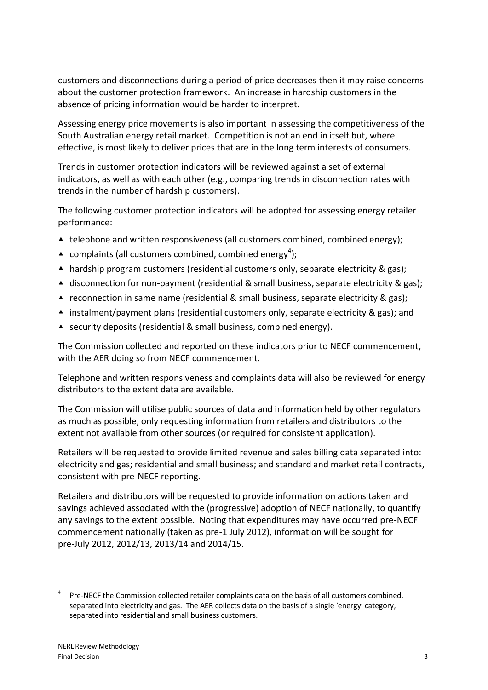customers and disconnections during a period of price decreases then it may raise concerns about the customer protection framework. An increase in hardship customers in the absence of pricing information would be harder to interpret.

Assessing energy price movements is also important in assessing the competitiveness of the South Australian energy retail market. Competition is not an end in itself but, where effective, is most likely to deliver prices that are in the long term interests of consumers.

Trends in customer protection indicators will be reviewed against a set of external indicators, as well as with each other (e.g., comparing trends in disconnection rates with trends in the number of hardship customers).

The following customer protection indicators will be adopted for assessing energy retailer performance:

- ▲ telephone and written responsiveness (all customers combined, combined energy);
- $\triangle$  complaints (all customers combined, combined energy<sup>4</sup>);
- ▲ hardship program customers (residential customers only, separate electricity & gas);
- ▲ disconnection for non-payment (residential & small business, separate electricity & gas);
- **▲ reconnection in same name (residential & small business, separate electricity & gas);**
- $\triangleq$  instalment/payment plans (residential customers only, separate electricity & gas); and
- ▲ security deposits (residential & small business, combined energy).

The Commission collected and reported on these indicators prior to NECF commencement, with the AER doing so from NECF commencement.

Telephone and written responsiveness and complaints data will also be reviewed for energy distributors to the extent data are available.

The Commission will utilise public sources of data and information held by other regulators as much as possible, only requesting information from retailers and distributors to the extent not available from other sources (or required for consistent application).

Retailers will be requested to provide limited revenue and sales billing data separated into: electricity and gas; residential and small business; and standard and market retail contracts, consistent with pre-NECF reporting.

Retailers and distributors will be requested to provide information on actions taken and savings achieved associated with the (progressive) adoption of NECF nationally, to quantify any savings to the extent possible. Noting that expenditures may have occurred pre-NECF commencement nationally (taken as pre-1 July 2012), information will be sought for pre-July 2012, 2012/13, 2013/14 and 2014/15.

<sup>4</sup> Pre-NECF the Commission collected retailer complaints data on the basis of all customers combined, separated into electricity and gas. The AER collects data on the basis of a single 'energy' category, separated into residential and small business customers.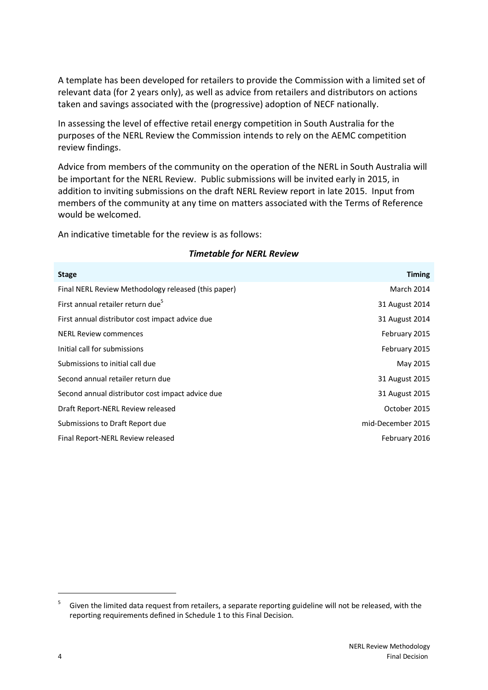A template has been developed for retailers to provide the Commission with a limited set of relevant data (for 2 years only), as well as advice from retailers and distributors on actions taken and savings associated with the (progressive) adoption of NECF nationally.

In assessing the level of effective retail energy competition in South Australia for the purposes of the NERL Review the Commission intends to rely on the AEMC competition review findings.

Advice from members of the community on the operation of the NERL in South Australia will be important for the NERL Review. Public submissions will be invited early in 2015, in addition to inviting submissions on the draft NERL Review report in late 2015. Input from members of the community at any time on matters associated with the Terms of Reference would be welcomed.

An indicative timetable for the review is as follows:

| <b>Stage</b>                                        | <b>Timing</b>     |
|-----------------------------------------------------|-------------------|
| Final NERL Review Methodology released (this paper) | March 2014        |
| First annual retailer return due <sup>5</sup>       | 31 August 2014    |
| First annual distributor cost impact advice due     | 31 August 2014    |
| <b>NERL Review commences</b>                        | February 2015     |
| Initial call for submissions                        | February 2015     |
| Submissions to initial call due                     | May 2015          |
| Second annual retailer return due                   | 31 August 2015    |
| Second annual distributor cost impact advice due    | 31 August 2015    |
| Draft Report-NERL Review released                   | October 2015      |
| Submissions to Draft Report due                     | mid-December 2015 |
| Final Report-NERL Review released                   | February 2016     |
|                                                     |                   |

#### *Timetable for NERL Review*

<sup>5</sup> Given the limited data request from retailers, a separate reporting guideline will not be released, with the reporting requirements defined in Schedule 1 to this Final Decision.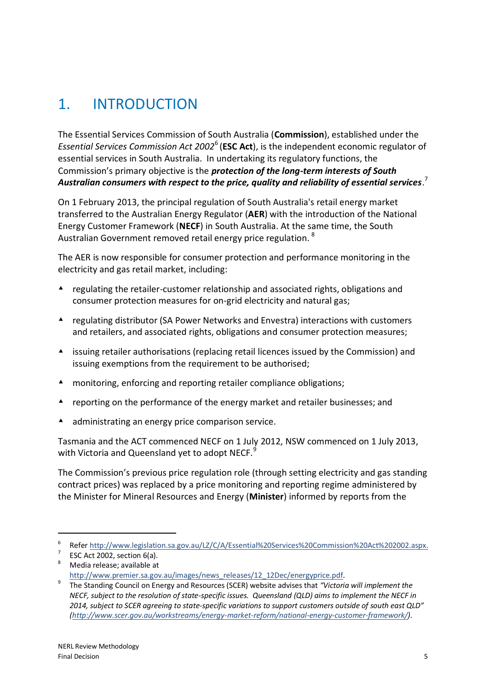# <span id="page-10-0"></span>1. INTRODUCTION

The Essential Services Commission of South Australia (**Commission**), established under the *Essential Services Commission Act 2002*<sup>6</sup> (**ESC Act**), is the independent economic regulator of essential services in South Australia. In undertaking its regulatory functions, the Commission's primary objective is the *protection of the long-term interests of South Australian consumers with respect to the price, quality and reliability of essential services*. 7

On 1 February 2013, the principal regulation of South Australia's retail energy market transferred to the Australian Energy Regulator (**AER**) with the introduction of the National Energy Customer Framework (**NECF**) in South Australia. At the same time, the South Australian Government removed retail energy price regulation. <sup>8</sup>

The AER is now responsible for consumer protection and performance monitoring in the electricity and gas retail market, including:

- $\blacktriangle$  regulating the retailer-customer relationship and associated rights, obligations and consumer protection measures for on-grid electricity and natural gas;
- regulating distributor (SA Power Networks and Envestra) interactions with customers and retailers, and associated rights, obligations and consumer protection measures;
- issuing retailer authorisations (replacing retail licences issued by the Commission) and issuing exemptions from the requirement to be authorised;
- monitoring, enforcing and reporting retailer compliance obligations;
- **A** reporting on the performance of the energy market and retailer businesses; and
- A administrating an energy price comparison service.

Tasmania and the ACT commenced NECF on 1 July 2012, NSW commenced on 1 July 2013, with Victoria and Queensland yet to adopt NECF.<sup>9</sup>

The Commission's previous price regulation role (through setting electricity and gas standing contract prices) was replaced by a price monitoring and reporting regime administered by the Minister for Mineral Resources and Energy (**Minister**) informed by reports from the

-

 $8 \t\t\t Media release: available at$ 

<sup>6</sup> Refer [http://www.legislation.sa.gov.au/LZ/C/A/Essential%20Services%20Commission%20Act%202002.aspx.](http://www.legislation.sa.gov.au/LZ/C/A/Essential%20Services%20Commission%20Act%202002.aspx)

<sup>7</sup> ESC Act 2002, section 6(a).

[http://www.premier.sa.gov.au/images/news\\_releases/12\\_12Dec/energyprice.pdf.](http://www.premier.sa.gov.au/images/news_releases/12_12Dec/energyprice.pdf)

<sup>9</sup> The Standing Council on Energy and Resources (SCER) website advises that *"Victoria will implement the NECF, subject to the resolution of state-specific issues. Queensland (QLD) aims to implement the NECF in 2014, subject to SCER agreeing to state-specific variations to support customers outside of south east QLD" [\(http://www.scer.gov.au/workstreams/energy-market-reform/national-energy-customer-framework/\)](http://www.scer.gov.au/workstreams/energy-market-reform/national-energy-customer-framework/)*.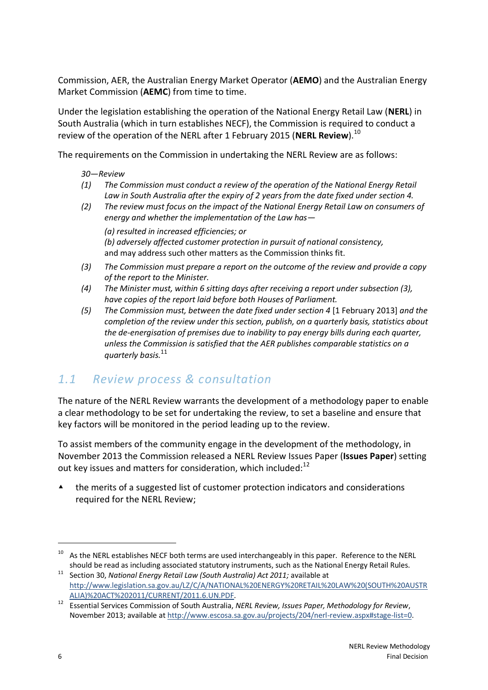Commission, AER, the Australian Energy Market Operator (**AEMO**) and the Australian Energy Market Commission (**AEMC**) from time to time.

Under the legislation establishing the operation of the National Energy Retail Law (**NERL**) in South Australia (which in turn establishes NECF), the Commission is required to conduct a review of the operation of the NERL after 1 February 2015 (**NERL Review**). 10

The requirements on the Commission in undertaking the NERL Review are as follows:

- *30—Review*
- *(1) The Commission must conduct a review of the operation of the National Energy Retail Law in South Australia after the expiry of 2 years from the date fixed under section 4.*
- *(2) The review must focus on the impact of the National Energy Retail Law on consumers of energy and whether the implementation of the Law has— (a) resulted in increased efficiencies; or (b) adversely affected customer protection in pursuit of national consistency,* and may address such other matters as the Commission thinks fit.
- *(3) The Commission must prepare a report on the outcome of the review and provide a copy of the report to the Minister.*
- *(4) The Minister must, within 6 sitting days after receiving a report under subsection (3), have copies of the report laid before both Houses of Parliament.*
- *(5) The Commission must, between the date fixed under section 4* [1 February 2013] *and the completion of the review under this section, publish, on a quarterly basis, statistics about the de-energisation of premises due to inability to pay energy bills during each quarter, unless the Commission is satisfied that the AER publishes comparable statistics on a quarterly basis.*<sup>11</sup>

## *1.1 Review process & consultation*

The nature of the NERL Review warrants the development of a methodology paper to enable a clear methodology to be set for undertaking the review, to set a baseline and ensure that key factors will be monitored in the period leading up to the review.

To assist members of the community engage in the development of the methodology, in November 2013 the Commission released a NERL Review Issues Paper (**Issues Paper**) setting out key issues and matters for consideration, which included: $^{12}$ 

 the merits of a suggested list of customer protection indicators and considerations required for the NERL Review;

<sup>&</sup>lt;sup>10</sup> As the NERL establishes NECF both terms are used interchangeably in this paper. Reference to the NERL should be read as including associated statutory instruments, such as the National Energy Retail Rules.

<sup>&</sup>lt;sup>11</sup> Section 30, *National Energy Retail Law (South Australia) Act 2011;* available at [http://www.legislation.sa.gov.au/LZ/C/A/NATIONAL%20ENERGY%20RETAIL%20LAW%20\(SOUTH%20AUSTR](http://www.legislation.sa.gov.au/LZ/C/A/NATIONAL%20ENERGY%20RETAIL%20LAW%20(SOUTH%20AUSTRALIA)%20ACT%202011/CURRENT/2011.6.UN.PDF) [ALIA\)%20ACT%202011/CURRENT/2011.6.UN.PDF.](http://www.legislation.sa.gov.au/LZ/C/A/NATIONAL%20ENERGY%20RETAIL%20LAW%20(SOUTH%20AUSTRALIA)%20ACT%202011/CURRENT/2011.6.UN.PDF)

<sup>12</sup> Essential Services Commission of South Australia, *NERL Review, Issues Paper, Methodology for Review*, November 2013; available a[t http://www.escosa.sa.gov.au/projects/204/nerl-review.aspx#stage-list=0.](http://www.escosa.sa.gov.au/projects/204/nerl-review.aspx#stage-list=0)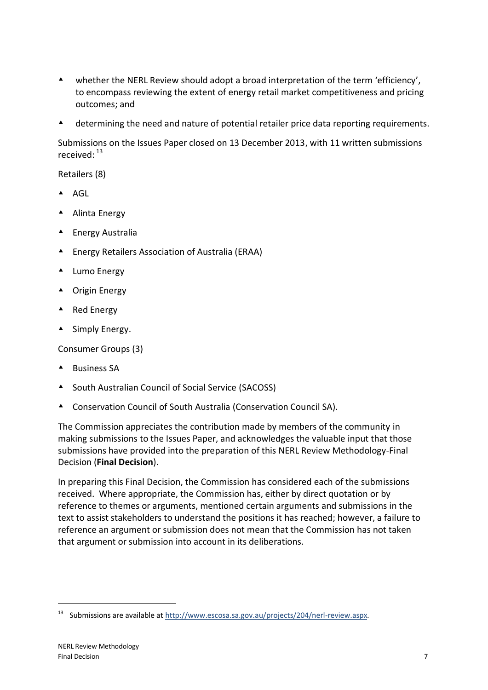- whether the NERL Review should adopt a broad interpretation of the term 'efficiency', to encompass reviewing the extent of energy retail market competitiveness and pricing outcomes; and
- A determining the need and nature of potential retailer price data reporting requirements.

Submissions on the Issues Paper closed on 13 December 2013, with 11 written submissions received: 13

Retailers (8)

- $\triangle$  AGL
- ▲ Alinta Energy
- Energy Australia
- Energy Retailers Association of Australia (ERAA)
- ▲ Lumo Energy
- ▲ Origin Energy
- ▲ Red Energy
- ▲ Simply Energy.

Consumer Groups (3)

- $\triangle$  Business SA
- ▲ South Australian Council of Social Service (SACOSS)
- Conservation Council of South Australia (Conservation Council SA).

The Commission appreciates the contribution made by members of the community in making submissions to the Issues Paper, and acknowledges the valuable input that those submissions have provided into the preparation of this NERL Review Methodology-Final Decision (**Final Decision**).

In preparing this Final Decision, the Commission has considered each of the submissions received. Where appropriate, the Commission has, either by direct quotation or by reference to themes or arguments, mentioned certain arguments and submissions in the text to assist stakeholders to understand the positions it has reached; however, a failure to reference an argument or submission does not mean that the Commission has not taken that argument or submission into account in its deliberations.

<sup>&</sup>lt;sup>13</sup> Submissions are available a[t http://www.escosa.sa.gov.au/projects/204/nerl-review.aspx.](http://www.escosa.sa.gov.au/projects/204/nerl-review.aspx)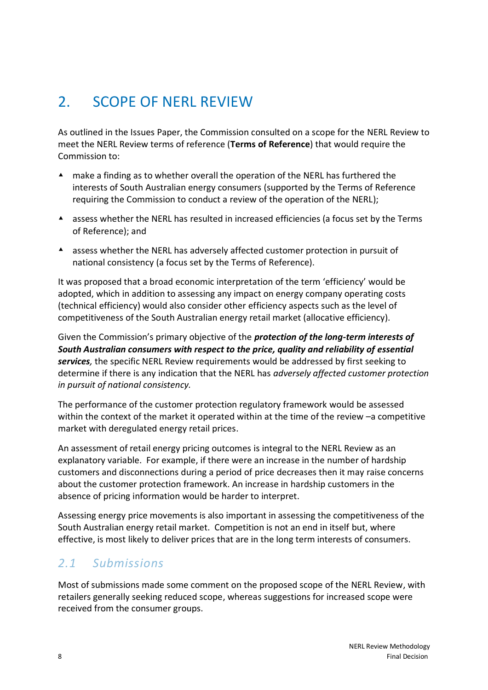# <span id="page-13-0"></span>2. SCOPE OF NERL REVIEW

As outlined in the Issues Paper, the Commission consulted on a scope for the NERL Review to meet the NERL Review terms of reference (**Terms of Reference**) that would require the Commission to:

- make a finding as to whether overall the operation of the NERL has furthered the interests of South Australian energy consumers (supported by the Terms of Reference requiring the Commission to conduct a review of the operation of the NERL);
- assess whether the NERL has resulted in increased efficiencies (a focus set by the Terms of Reference); and
- assess whether the NERL has adversely affected customer protection in pursuit of national consistency (a focus set by the Terms of Reference).

It was proposed that a broad economic interpretation of the term 'efficiency' would be adopted, which in addition to assessing any impact on energy company operating costs (technical efficiency) would also consider other efficiency aspects such as the level of competitiveness of the South Australian energy retail market (allocative efficiency).

Given the Commission's primary objective of the *protection of the long-term interests of South Australian consumers with respect to the price, quality and reliability of essential services,* the specific NERL Review requirements would be addressed by first seeking to determine if there is any indication that the NERL has *adversely affected customer protection in pursuit of national consistency.*

The performance of the customer protection regulatory framework would be assessed within the context of the market it operated within at the time of the review –a competitive market with deregulated energy retail prices.

An assessment of retail energy pricing outcomes is integral to the NERL Review as an explanatory variable. For example, if there were an increase in the number of hardship customers and disconnections during a period of price decreases then it may raise concerns about the customer protection framework. An increase in hardship customers in the absence of pricing information would be harder to interpret.

Assessing energy price movements is also important in assessing the competitiveness of the South Australian energy retail market. Competition is not an end in itself but, where effective, is most likely to deliver prices that are in the long term interests of consumers.

## *2.1 Submissions*

Most of submissions made some comment on the proposed scope of the NERL Review, with retailers generally seeking reduced scope, whereas suggestions for increased scope were received from the consumer groups.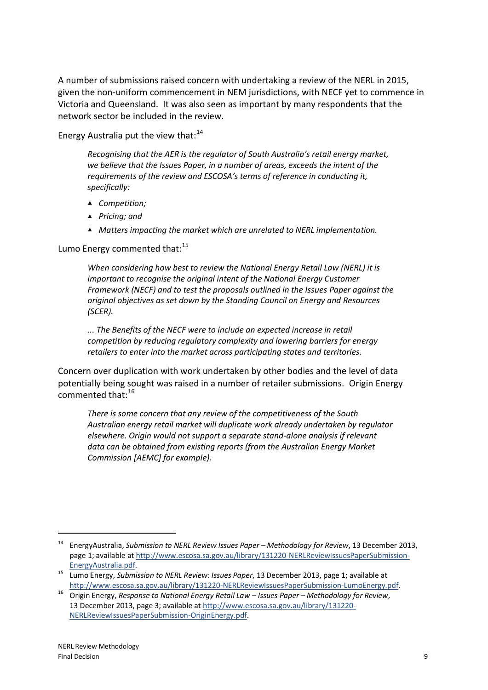A number of submissions raised concern with undertaking a review of the NERL in 2015, given the non-uniform commencement in NEM jurisdictions, with NECF yet to commence in Victoria and Queensland. It was also seen as important by many respondents that the network sector be included in the review.

Energy Australia put the view that: $^{14}$ 

*Recognising that the AER is the regulator of South Australia's retail energy market, we believe that the Issues Paper, in a number of areas, exceeds the intent of the requirements of the review and ESCOSA's terms of reference in conducting it, specifically:*

- ▲ *Competition;*
- ▲ *Pricing; and*
- ▲ *Matters impacting the market which are unrelated to NERL implementation.*

### Lumo Energy commented that:<sup>15</sup>

*When considering how best to review the National Energy Retail Law (NERL) it is important to recognise the original intent of the National Energy Customer Framework (NECF) and to test the proposals outlined in the Issues Paper against the original objectives as set down by the Standing Council on Energy and Resources (SCER).*

*... The Benefits of the NECF were to include an expected increase in retail competition by reducing regulatory complexity and lowering barriers for energy retailers to enter into the market across participating states and territories.*

Concern over duplication with work undertaken by other bodies and the level of data potentially being sought was raised in a number of retailer submissions. Origin Energy commented that:<sup>16</sup>

*There is some concern that any review of the competitiveness of the South Australian energy retail market will duplicate work already undertaken by regulator elsewhere. Origin would not support a separate stand-alone analysis if relevant data can be obtained from existing reports (from the Australian Energy Market Commission [AEMC] for example).*

<sup>14</sup> EnergyAustralia, *Submission to NERL Review Issues Paper – Methodology for Review*, 13 December 2013, page 1; available at [http://www.escosa.sa.gov.au/library/131220-NERLReviewIssuesPaperSubmission-](http://www.escosa.sa.gov.au/library/131220-NERLReviewIssuesPaperSubmission-EnergyAustralia.pdf)[EnergyAustralia.pdf.](http://www.escosa.sa.gov.au/library/131220-NERLReviewIssuesPaperSubmission-EnergyAustralia.pdf)

<sup>15</sup> Lumo Energy, *Submission to NERL Review: Issues Paper*, 13 December 2013, page 1; available at [http://www.escosa.sa.gov.au/library/131220-NERLReviewIssuesPaperSubmission-LumoEnergy.pdf.](http://www.escosa.sa.gov.au/library/131220-NERLReviewIssuesPaperSubmission-LumoEnergy.pdf)

<sup>16</sup> Origin Energy, *Response to National Energy Retail Law – Issues Paper – Methodology for Review*, 13 December 2013, page 3; available a[t http://www.escosa.sa.gov.au/library/131220-](http://www.escosa.sa.gov.au/library/131220-NERLReviewIssuesPaperSubmission-OriginEnergy.pdf) [NERLReviewIssuesPaperSubmission-OriginEnergy.pdf.](http://www.escosa.sa.gov.au/library/131220-NERLReviewIssuesPaperSubmission-OriginEnergy.pdf)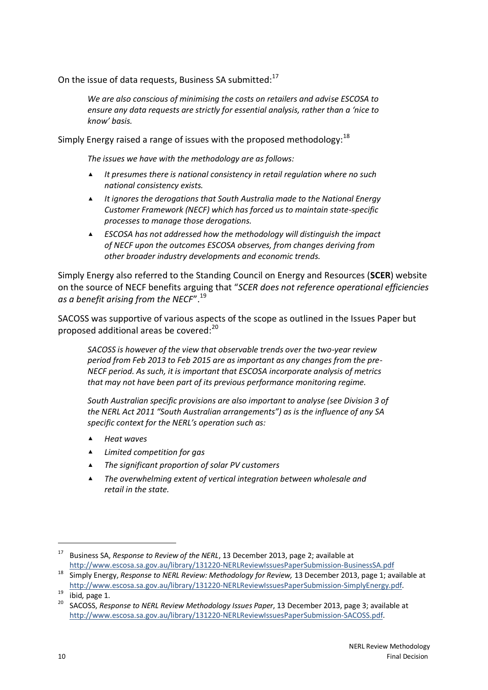On the issue of data requests, Business SA submitted:<sup>17</sup>

*We are also conscious of minimising the costs on retailers and advise ESCOSA to ensure any data requests are strictly for essential analysis, rather than a 'nice to know' basis.*

Simply Energy raised a range of issues with the proposed methodology:  $18$ 

*The issues we have with the methodology are as follows:*

- ▲ *It presumes there is national consistency in retail regulation where no such national consistency exists.*
- ▲ *It ignores the derogations that South Australia made to the National Energy Customer Framework (NECF) which has forced us to maintain state-specific processes to manage those derogations.*
- ▲ *ESCOSA has not addressed how the methodology will distinguish the impact of NECF upon the outcomes ESCOSA observes, from changes deriving from other broader industry developments and economic trends.*

Simply Energy also referred to the Standing Council on Energy and Resources (**SCER**) website on the source of NECF benefits arguing that "*SCER does not reference operational efficiencies as a benefit arising from the NECF*". 19

SACOSS was supportive of various aspects of the scope as outlined in the Issues Paper but proposed additional areas be covered:<sup>20</sup>

*SACOSS is however of the view that observable trends over the two-year review period from Feb 2013 to Feb 2015 are as important as any changes from the pre-NECF period. As such, it is important that ESCOSA incorporate analysis of metrics that may not have been part of its previous performance monitoring regime.*

*South Australian specific provisions are also important to analyse (see Division 3 of the NERL Act 2011 "South Australian arrangements") as is the influence of any SA specific context for the NERL's operation such as:*

- ▲ *Heat waves*
- ▲ *Limited competition for gas*
- ▲ *The significant proportion of solar PV customers*
- ▲ *The overwhelming extent of vertical integration between wholesale and retail in the state.*

<sup>17</sup> Business SA, *Response to Review of the NERL*, 13 December 2013, page 2; available at <http://www.escosa.sa.gov.au/library/131220-NERLReviewIssuesPaperSubmission-BusinessSA.pdf>

<sup>18</sup> Simply Energy, *Response to NERL Review: Methodology for Review,* 13 December 2013, page 1; available at [http://www.escosa.sa.gov.au/library/131220-NERLReviewIssuesPaperSubmission-SimplyEnergy.pdf.](http://www.escosa.sa.gov.au/library/131220-NERLReviewIssuesPaperSubmission-SimplyEnergy.pdf)

<sup>19</sup> ibid*,* page 1.

<sup>20</sup> SACOSS, *Response to NERL Review Methodology Issues Paper*, 13 December 2013, page 3; available at [http://www.escosa.sa.gov.au/library/131220-NERLReviewIssuesPaperSubmission-SACOSS.pdf.](http://www.escosa.sa.gov.au/library/131220-NERLReviewIssuesPaperSubmission-SACOSS.pdf)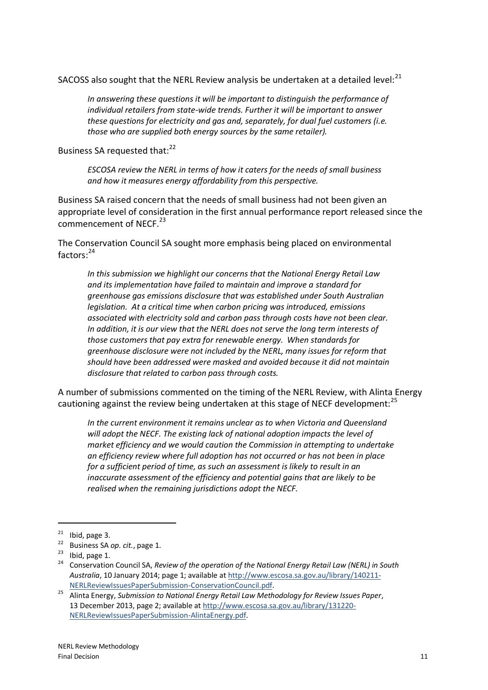SACOSS also sought that the NERL Review analysis be undertaken at a detailed level: $^{21}$ 

*In answering these questions it will be important to distinguish the performance of individual retailers from state-wide trends. Further it will be important to answer these questions for electricity and gas and, separately, for dual fuel customers (i.e. those who are supplied both energy sources by the same retailer).*

Business SA requested that:<sup>22</sup>

*ESCOSA review the NERL in terms of how it caters for the needs of small business and how it measures energy affordability from this perspective.*

Business SA raised concern that the needs of small business had not been given an appropriate level of consideration in the first annual performance report released since the commencement of NECF.<sup>23</sup>

The Conservation Council SA sought more emphasis being placed on environmental factors: 24

*In this submission we highlight our concerns that the National Energy Retail Law and its implementation have failed to maintain and improve a standard for greenhouse gas emissions disclosure that was established under South Australian legislation. At a critical time when carbon pricing was introduced, emissions associated with electricity sold and carbon pass through costs have not been clear. In addition, it is our view that the NERL does not serve the long term interests of those customers that pay extra for renewable energy. When standards for greenhouse disclosure were not included by the NERL, many issues for reform that should have been addressed were masked and avoided because it did not maintain disclosure that related to carbon pass through costs.*

A number of submissions commented on the timing of the NERL Review, with Alinta Energy cautioning against the review being undertaken at this stage of NECF development:<sup>25</sup>

*In the current environment it remains unclear as to when Victoria and Queensland will adopt the NECF. The existing lack of national adoption impacts the level of market efficiency and we would caution the Commission in attempting to undertake an efficiency review where full adoption has not occurred or has not been in place for a sufficient period of time, as such an assessment is likely to result in an inaccurate assessment of the efficiency and potential gains that are likely to be realised when the remaining jurisdictions adopt the NECF.*

 $21$  Ibid, page 3.

<sup>22</sup> Business SA *op. cit.*, page 1.

 $23$  Ibid, page 1.

<sup>24</sup> Conservation Council SA, *Review of the operation of the National Energy Retail Law (NERL) in South Australia*, 10 January 2014; page 1; available a[t http://www.escosa.sa.gov.au/library/140211-](http://www.escosa.sa.gov.au/library/140211-NERLReviewIssuesPaperSubmission-ConservationCouncil.pdf) [NERLReviewIssuesPaperSubmission-ConservationCouncil.pdf.](http://www.escosa.sa.gov.au/library/140211-NERLReviewIssuesPaperSubmission-ConservationCouncil.pdf)

<sup>25</sup> Alinta Energy, *Submission to National Energy Retail Law Methodology for Review Issues Paper*, 13 December 2013, page 2; available a[t http://www.escosa.sa.gov.au/library/131220-](http://www.escosa.sa.gov.au/library/131220-NERLReviewIssuesPaperSubmission-AlintaEnergy.pdf) [NERLReviewIssuesPaperSubmission-AlintaEnergy.pdf.](http://www.escosa.sa.gov.au/library/131220-NERLReviewIssuesPaperSubmission-AlintaEnergy.pdf)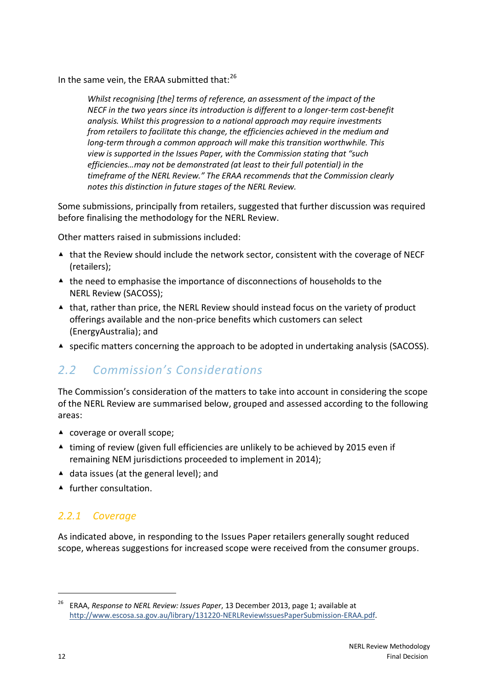In the same vein, the ERAA submitted that:<sup>26</sup>

*Whilst recognising [the] terms of reference, an assessment of the impact of the NECF in the two years since its introduction is different to a longer-term cost-benefit analysis. Whilst this progression to a national approach may require investments from retailers to facilitate this change, the efficiencies achieved in the medium and long-term through a common approach will make this transition worthwhile. This view is supported in the Issues Paper, with the Commission stating that "such efficiencies…may not be demonstrated (at least to their full potential) in the timeframe of the NERL Review." The ERAA recommends that the Commission clearly notes this distinction in future stages of the NERL Review.*

Some submissions, principally from retailers, suggested that further discussion was required before finalising the methodology for the NERL Review.

Other matters raised in submissions included:

- ▲ that the Review should include the network sector, consistent with the coverage of NECF (retailers);
- ▲ the need to emphasise the importance of disconnections of households to the NERL Review (SACOSS);
- ▲ that, rather than price, the NERL Review should instead focus on the variety of product offerings available and the non-price benefits which customers can select (EnergyAustralia); and
- ▲ specific matters concerning the approach to be adopted in undertaking analysis (SACOSS).

## *2.2 Commission's Considerations*

The Commission's consideration of the matters to take into account in considering the scope of the NERL Review are summarised below, grouped and assessed according to the following areas:

- ▲ coverage or overall scope;
- ▲ timing of review (given full efficiencies are unlikely to be achieved by 2015 even if remaining NEM jurisdictions proceeded to implement in 2014);
- ▲ data issues (at the general level); and
- ▲ further consultation.

### *2.2.1 Coverage*

As indicated above, in responding to the Issues Paper retailers generally sought reduced scope, whereas suggestions for increased scope were received from the consumer groups.

<sup>26</sup> ERAA, *Response to NERL Review: Issues Paper*, 13 December 2013, page 1; available at [http://www.escosa.sa.gov.au/library/131220-NERLReviewIssuesPaperSubmission-ERAA.pdf.](http://www.escosa.sa.gov.au/library/131220-NERLReviewIssuesPaperSubmission-ERAA.pdf)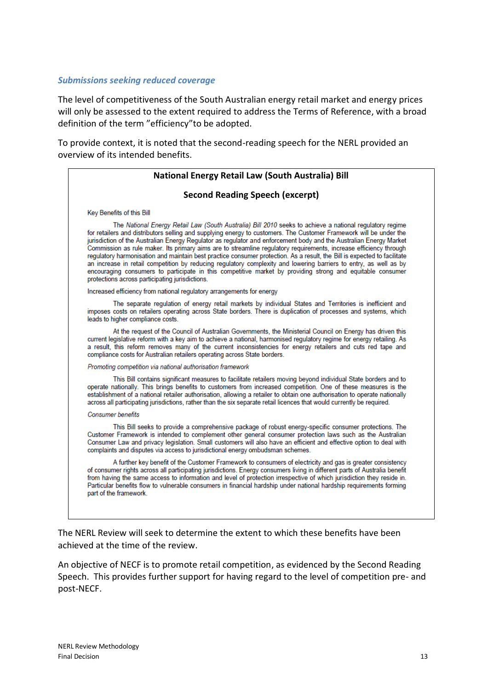#### *Submissions seeking reduced coverage*

The level of competitiveness of the South Australian energy retail market and energy prices will only be assessed to the extent required to address the Terms of Reference, with a broad definition of the term "efficiency"to be adopted.

To provide context, it is noted that the second-reading speech for the NERL provided an overview of its intended benefits.

### **National Energy Retail Law (South Australia) Bill Second Reading Speech (excerpt)** Key Benefits of this Bill The National Energy Retail Law (South Australia) Bill 2010 seeks to achieve a national regulatory regime for retailers and distributors selling and supplying energy to customers. The Customer Framework will be under the jurisdiction of the Australian Energy Regulator as regulator and enforcement body and the Australian Energy Market Commission as rule maker. Its primary aims are to streamline requlatory requirements, increase efficiency through regulatory harmonisation and maintain best practice consumer protection. As a result, the Bill is expected to facilitate an increase in retail competition by reducing regulatory complexity and lowering barriers to entry, as well as by encouraging consumers to participate in this competitive market by providing strong and equitable consumer protections across participating jurisdictions. Increased efficiency from national regulatory arrangements for energy The separate regulation of energy retail markets by individual States and Territories is inefficient and imposes costs on retailers operating across State borders. There is duplication of processes and systems, which leads to higher compliance costs. At the request of the Council of Australian Governments, the Ministerial Council on Energy has driven this current legislative reform with a key aim to achieve a national, harmonised regulatory regime for energy retailing. As a result, this reform removes many of the current inconsistencies for energy retailers and cuts red tape and compliance costs for Australian retailers operating across State borders. Promoting competition via national authorisation framework This Bill contains significant measures to facilitate retailers moving beyond individual State borders and to operate nationally. This brings benefits to customers from increased competition. One of these measures is the establishment of a national retailer authorisation, allowing a retailer to obtain one authorisation to operate nationally across all participating jurisdictions, rather than the six separate retail licences that would currently be required. **Consumer benefits** This Bill seeks to provide a comprehensive package of robust energy-specific consumer protections. The Customer Framework is intended to complement other general consumer protection laws such as the Australian Consumer Law and privacy legislation. Small customers will also have an efficient and effective option to deal with complaints and disputes via access to jurisdictional energy ombudsman schemes. A further key benefit of the Customer Framework to consumers of electricity and gas is greater consistency of consumer rights across all participating jurisdictions. Energy consumers living in different parts of Australia benefit from having the same access to information and level of protection irrespective of which jurisdiction they reside in. Particular benefits flow to vulnerable consumers in financial hardship under national hardship requirements forming part of the framework.

The NERL Review will seek to determine the extent to which these benefits have been achieved at the time of the review.

An objective of NECF is to promote retail competition, as evidenced by the Second Reading Speech. This provides further support for having regard to the level of competition pre- and post-NECF.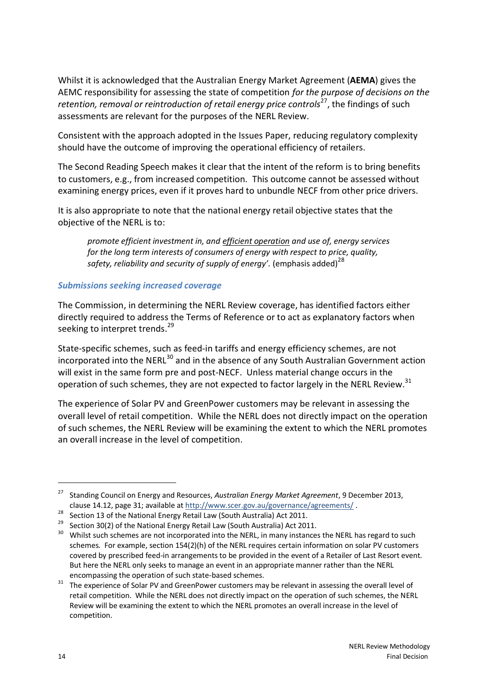Whilst it is acknowledged that the Australian Energy Market Agreement (**AEMA**) gives the AEMC responsibility for assessing the state of competition *for the purpose of decisions on the*  retention, removal or reintroduction of retail energy price controls<sup>27</sup>, the findings of such assessments are relevant for the purposes of the NERL Review.

Consistent with the approach adopted in the Issues Paper, reducing regulatory complexity should have the outcome of improving the operational efficiency of retailers.

The Second Reading Speech makes it clear that the intent of the reform is to bring benefits to customers, e.g., from increased competition. This outcome cannot be assessed without examining energy prices, even if it proves hard to unbundle NECF from other price drivers.

It is also appropriate to note that the national energy retail objective states that the objective of the NERL is to:

*promote efficient investment in, and efficient operation and use of, energy services for the long term interests of consumers of energy with respect to price, quality, safety, reliability and security of supply of energy'.* (emphasis added)<sup>28</sup>

### *Submissions seeking increased coverage*

The Commission, in determining the NERL Review coverage, has identified factors either directly required to address the Terms of Reference or to act as explanatory factors when seeking to interpret trends.<sup>29</sup>

State-specific schemes, such as feed-in tariffs and energy efficiency schemes, are not incorporated into the NERL<sup>30</sup> and in the absence of any South Australian Government action will exist in the same form pre and post-NECF. Unless material change occurs in the operation of such schemes, they are not expected to factor largely in the NERL Review.<sup>31</sup>

The experience of Solar PV and GreenPower customers may be relevant in assessing the overall level of retail competition. While the NERL does not directly impact on the operation of such schemes, the NERL Review will be examining the extent to which the NERL promotes an overall increase in the level of competition.

<sup>27</sup> Standing Council on Energy and Resources, *Australian Energy Market Agreement*, 9 December 2013, clause 14.12, page 31; available at<http://www.scer.gov.au/governance/agreements/> .

<sup>&</sup>lt;sup>28</sup> Section 13 of the National Energy Retail Law (South Australia) Act 2011.

<sup>&</sup>lt;sup>29</sup> Section 30(2) of the National Energy Retail Law (South Australia) Act 2011.

<sup>&</sup>lt;sup>30</sup> Whilst such schemes are not incorporated into the NERL, in many instances the NERL has regard to such schemes. For example, section 154(2)(h) of the NERL requires certain information on solar PV customers covered by prescribed feed-in arrangements to be provided in the event of a Retailer of Last Resort event. But here the NERL only seeks to manage an event in an appropriate manner rather than the NERL encompassing the operation of such state-based schemes.

The experience of Solar PV and GreenPower customers may be relevant in assessing the overall level of retail competition. While the NERL does not directly impact on the operation of such schemes, the NERL Review will be examining the extent to which the NERL promotes an overall increase in the level of competition.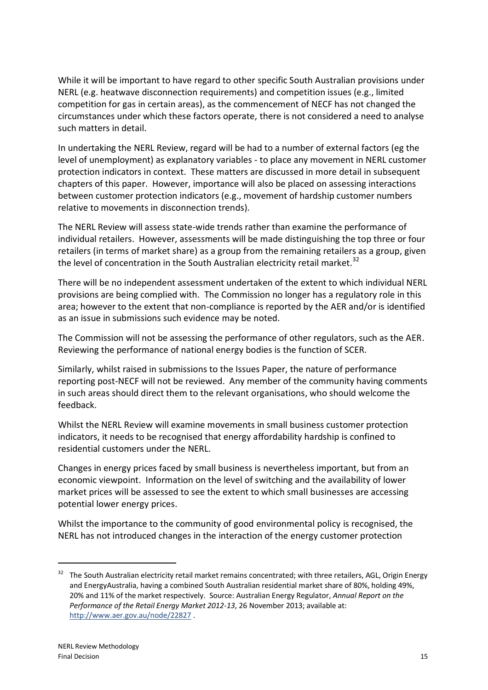While it will be important to have regard to other specific South Australian provisions under NERL (e.g. heatwave disconnection requirements) and competition issues (e.g., limited competition for gas in certain areas), as the commencement of NECF has not changed the circumstances under which these factors operate, there is not considered a need to analyse such matters in detail.

In undertaking the NERL Review, regard will be had to a number of external factors (eg the level of unemployment) as explanatory variables - to place any movement in NERL customer protection indicators in context. These matters are discussed in more detail in subsequent chapters of this paper. However, importance will also be placed on assessing interactions between customer protection indicators (e.g., movement of hardship customer numbers relative to movements in disconnection trends).

The NERL Review will assess state-wide trends rather than examine the performance of individual retailers. However, assessments will be made distinguishing the top three or four retailers (in terms of market share) as a group from the remaining retailers as a group, given the level of concentration in the South Australian electricity retail market.<sup>32</sup>

There will be no independent assessment undertaken of the extent to which individual NERL provisions are being complied with. The Commission no longer has a regulatory role in this area; however to the extent that non-compliance is reported by the AER and/or is identified as an issue in submissions such evidence may be noted.

The Commission will not be assessing the performance of other regulators, such as the AER. Reviewing the performance of national energy bodies is the function of SCER.

Similarly, whilst raised in submissions to the Issues Paper, the nature of performance reporting post-NECF will not be reviewed. Any member of the community having comments in such areas should direct them to the relevant organisations, who should welcome the feedback.

Whilst the NERL Review will examine movements in small business customer protection indicators, it needs to be recognised that energy affordability hardship is confined to residential customers under the NERL.

Changes in energy prices faced by small business is nevertheless important, but from an economic viewpoint. Information on the level of switching and the availability of lower market prices will be assessed to see the extent to which small businesses are accessing potential lower energy prices.

Whilst the importance to the community of good environmental policy is recognised, the NERL has not introduced changes in the interaction of the energy customer protection

<sup>32</sup> The South Australian electricity retail market remains concentrated; with three retailers, AGL, Origin Energy and EnergyAustralia, having a combined South Australian residential market share of 80%, holding 49%, 20% and 11% of the market respectively. Source: Australian Energy Regulator, *Annual Report on the Performance of the Retail Energy Market 2012-13*, 26 November 2013; available at: <http://www.aer.gov.au/node/22827> .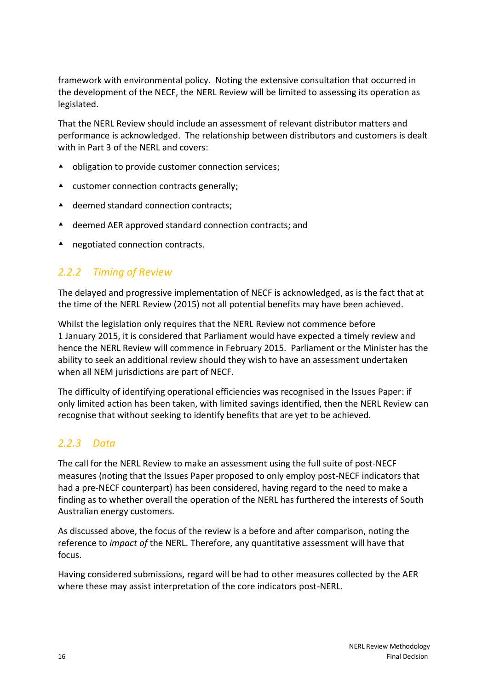framework with environmental policy. Noting the extensive consultation that occurred in the development of the NECF, the NERL Review will be limited to assessing its operation as legislated.

That the NERL Review should include an assessment of relevant distributor matters and performance is acknowledged. The relationship between distributors and customers is dealt with in Part 3 of the NERL and covers:

- **▲** obligation to provide customer connection services;
- A customer connection contracts generally;
- ▲ deemed standard connection contracts;
- deemed AER approved standard connection contracts; and
- ▲ negotiated connection contracts.

### *2.2.2 Timing of Review*

The delayed and progressive implementation of NECF is acknowledged, as is the fact that at the time of the NERL Review (2015) not all potential benefits may have been achieved.

Whilst the legislation only requires that the NERL Review not commence before 1 January 2015, it is considered that Parliament would have expected a timely review and hence the NERL Review will commence in February 2015. Parliament or the Minister has the ability to seek an additional review should they wish to have an assessment undertaken when all NEM jurisdictions are part of NECF.

The difficulty of identifying operational efficiencies was recognised in the Issues Paper: if only limited action has been taken, with limited savings identified, then the NERL Review can recognise that without seeking to identify benefits that are yet to be achieved.

### *2.2.3 Data*

The call for the NERL Review to make an assessment using the full suite of post-NECF measures (noting that the Issues Paper proposed to only employ post-NECF indicators that had a pre-NECF counterpart) has been considered, having regard to the need to make a finding as to whether overall the operation of the NERL has furthered the interests of South Australian energy customers.

As discussed above, the focus of the review is a before and after comparison, noting the reference to *impact of* the NERL. Therefore, any quantitative assessment will have that focus.

Having considered submissions, regard will be had to other measures collected by the AER where these may assist interpretation of the core indicators post-NERL.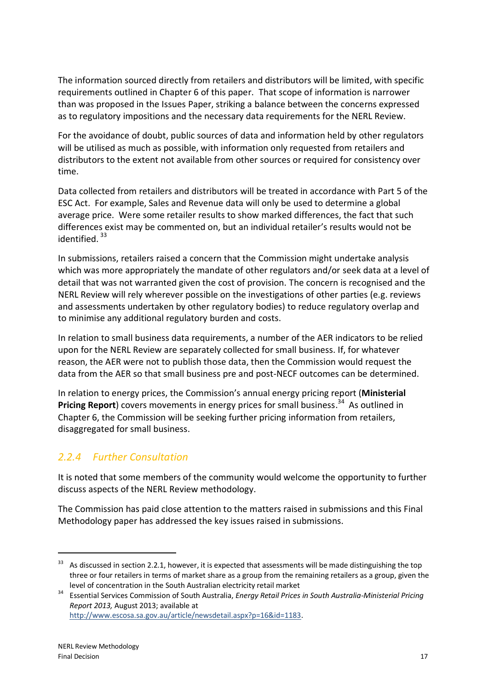The information sourced directly from retailers and distributors will be limited, with specific requirements outlined in Chapter 6 of this paper. That scope of information is narrower than was proposed in the Issues Paper, striking a balance between the concerns expressed as to regulatory impositions and the necessary data requirements for the NERL Review.

For the avoidance of doubt, public sources of data and information held by other regulators will be utilised as much as possible, with information only requested from retailers and distributors to the extent not available from other sources or required for consistency over time.

Data collected from retailers and distributors will be treated in accordance with Part 5 of the ESC Act. For example, Sales and Revenue data will only be used to determine a global average price. Were some retailer results to show marked differences, the fact that such differences exist may be commented on, but an individual retailer's results would not be identified.<sup>33</sup>

In submissions, retailers raised a concern that the Commission might undertake analysis which was more appropriately the mandate of other regulators and/or seek data at a level of detail that was not warranted given the cost of provision. The concern is recognised and the NERL Review will rely wherever possible on the investigations of other parties (e.g. reviews and assessments undertaken by other regulatory bodies) to reduce regulatory overlap and to minimise any additional regulatory burden and costs.

In relation to small business data requirements, a number of the AER indicators to be relied upon for the NERL Review are separately collected for small business. If, for whatever reason, the AER were not to publish those data, then the Commission would request the data from the AER so that small business pre and post-NECF outcomes can be determined.

In relation to energy prices, the Commission's annual energy pricing report (**Ministerial**  Pricing Report) covers movements in energy prices for small business.<sup>34</sup> As outlined in Chapter 6, the Commission will be seeking further pricing information from retailers, disaggregated for small business.

## *2.2.4 Further Consultation*

It is noted that some members of the community would welcome the opportunity to further discuss aspects of the NERL Review methodology.

The Commission has paid close attention to the matters raised in submissions and this Final Methodology paper has addressed the key issues raised in submissions.

<sup>&</sup>lt;sup>33</sup> As discussed in section 2.2.1, however, it is expected that assessments will be made distinguishing the top three or four retailers in terms of market share as a group from the remaining retailers as a group, given the level of concentration in the South Australian electricity retail market

<sup>34</sup> Essential Services Commission of South Australia, *Energy Retail Prices in South Australia-Ministerial Pricing Report 2013,* August 2013; available at

[http://www.escosa.sa.gov.au/article/newsdetail.aspx?p=16&id=1183.](http://www.escosa.sa.gov.au/article/newsdetail.aspx?p=16&id=1183)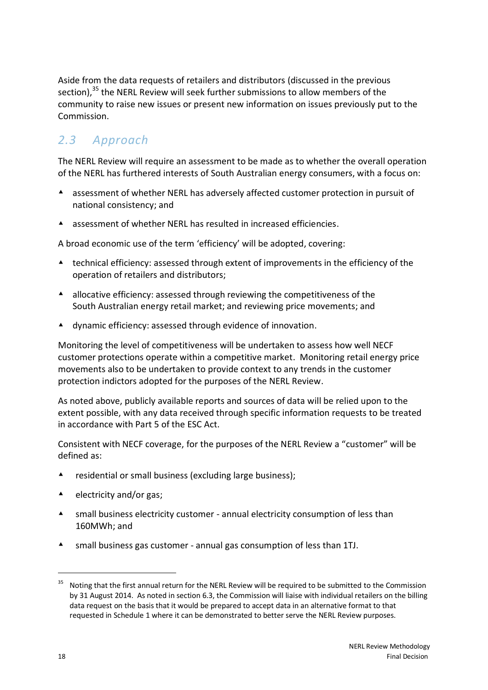Aside from the data requests of retailers and distributors (discussed in the previous section),<sup>35</sup> the NERL Review will seek further submissions to allow members of the community to raise new issues or present new information on issues previously put to the Commission.

## *2.3 Approach*

The NERL Review will require an assessment to be made as to whether the overall operation of the NERL has furthered interests of South Australian energy consumers, with a focus on:

- assessment of whether NERL has adversely affected customer protection in pursuit of national consistency; and
- A assessment of whether NERL has resulted in increased efficiencies.

A broad economic use of the term 'efficiency' will be adopted, covering:

- technical efficiency: assessed through extent of improvements in the efficiency of the operation of retailers and distributors;
- A allocative efficiency: assessed through reviewing the competitiveness of the South Australian energy retail market; and reviewing price movements; and
- dynamic efficiency: assessed through evidence of innovation.

Monitoring the level of competitiveness will be undertaken to assess how well NECF customer protections operate within a competitive market. Monitoring retail energy price movements also to be undertaken to provide context to any trends in the customer protection indictors adopted for the purposes of the NERL Review.

As noted above, publicly available reports and sources of data will be relied upon to the extent possible, with any data received through specific information requests to be treated in accordance with Part 5 of the ESC Act.

Consistent with NECF coverage, for the purposes of the NERL Review a "customer" will be defined as:

- **A** residential or small business (excluding large business);
- $\triangle$  electricity and/or gas;
- small business electricity customer annual electricity consumption of less than 160MWh; and
- small business gas customer annual gas consumption of less than 1TJ.

<sup>&</sup>lt;sup>35</sup> Noting that the first annual return for the NERL Review will be required to be submitted to the Commission by 31 August 2014. As noted in section 6.3, the Commission will liaise with individual retailers on the billing data request on the basis that it would be prepared to accept data in an alternative format to that requested in Schedule 1 where it can be demonstrated to better serve the NERL Review purposes.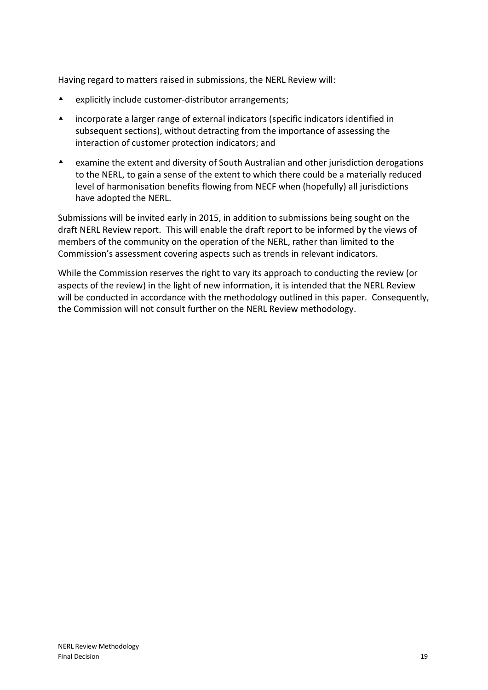Having regard to matters raised in submissions, the NERL Review will:

- explicitly include customer-distributor arrangements;
- incorporate a larger range of external indicators (specific indicators identified in subsequent sections), without detracting from the importance of assessing the interaction of customer protection indicators; and
- examine the extent and diversity of South Australian and other jurisdiction derogations to the NERL, to gain a sense of the extent to which there could be a materially reduced level of harmonisation benefits flowing from NECF when (hopefully) all jurisdictions have adopted the NERL.

Submissions will be invited early in 2015, in addition to submissions being sought on the draft NERL Review report. This will enable the draft report to be informed by the views of members of the community on the operation of the NERL, rather than limited to the Commission's assessment covering aspects such as trends in relevant indicators.

While the Commission reserves the right to vary its approach to conducting the review (or aspects of the review) in the light of new information, it is intended that the NERL Review will be conducted in accordance with the methodology outlined in this paper. Consequently, the Commission will not consult further on the NERL Review methodology.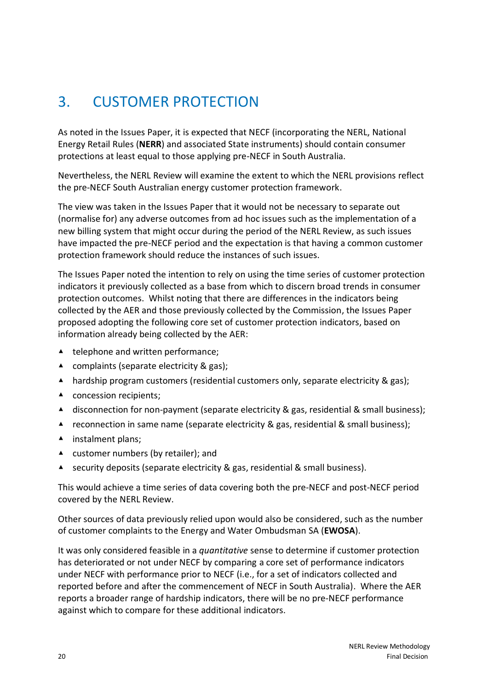# <span id="page-25-0"></span>3. CUSTOMER PROTECTION

As noted in the Issues Paper, it is expected that NECF (incorporating the NERL, National Energy Retail Rules (**NERR**) and associated State instruments) should contain consumer protections at least equal to those applying pre-NECF in South Australia.

Nevertheless, the NERL Review will examine the extent to which the NERL provisions reflect the pre-NECF South Australian energy customer protection framework.

The view was taken in the Issues Paper that it would not be necessary to separate out (normalise for) any adverse outcomes from ad hoc issues such as the implementation of a new billing system that might occur during the period of the NERL Review, as such issues have impacted the pre-NECF period and the expectation is that having a common customer protection framework should reduce the instances of such issues.

The Issues Paper noted the intention to rely on using the time series of customer protection indicators it previously collected as a base from which to discern broad trends in consumer protection outcomes. Whilst noting that there are differences in the indicators being collected by the AER and those previously collected by the Commission, the Issues Paper proposed adopting the following core set of customer protection indicators, based on information already being collected by the AER:

- ▲ telephone and written performance;
- ▲ complaints (separate electricity & gas);
- ▲ hardship program customers (residential customers only, separate electricity & gas);
- ▲ concession recipients;
- ▲ disconnection for non-payment (separate electricity & gas, residential & small business);
- $\blacktriangle$  reconnection in same name (separate electricity & gas, residential & small business);
- ▲ instalment plans;
- ▲ customer numbers (by retailer); and
- ▲ security deposits (separate electricity & gas, residential & small business).

This would achieve a time series of data covering both the pre-NECF and post-NECF period covered by the NERL Review.

Other sources of data previously relied upon would also be considered, such as the number of customer complaints to the Energy and Water Ombudsman SA (**EWOSA**).

It was only considered feasible in a *quantitative* sense to determine if customer protection has deteriorated or not under NECF by comparing a core set of performance indicators under NECF with performance prior to NECF (i.e., for a set of indicators collected and reported before and after the commencement of NECF in South Australia). Where the AER reports a broader range of hardship indicators, there will be no pre-NECF performance against which to compare for these additional indicators.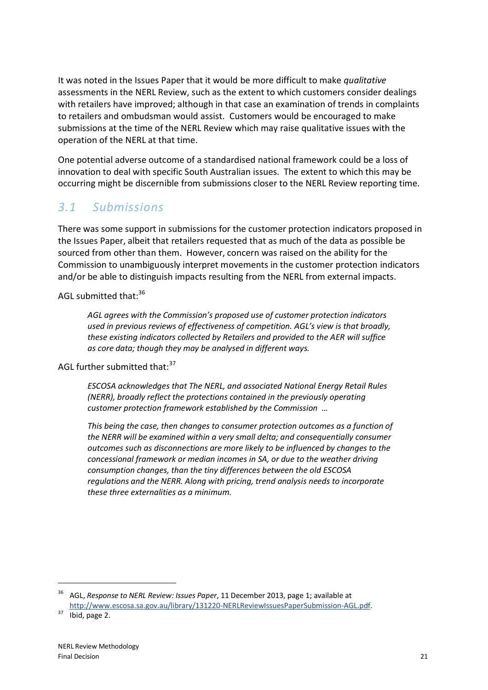It was noted in the Issues Paper that it would be more difficult to make *qualitative* assessments in the NERL Review, such as the extent to which customers consider dealings with retailers have improved; although in that case an examination of trends in complaints to retailers and ombudsman would assist. Customers would be encouraged to make submissions at the time of the NERL Review which may raise qualitative issues with the operation of the NERL at that time.

One potential adverse outcome of a standardised national framework could be a loss of innovation to deal with specific South Australian issues. The extent to which this may be occurring might be discernible from submissions closer to the NERL Review reporting time.

### *3.1 Submissions*

There was some support in submissions for the customer protection indicators proposed in the Issues Paper, albeit that retailers requested that as much of the data as possible be sourced from other than them. However, concern was raised on the ability for the Commission to unambiguously interpret movements in the customer protection indicators and/or be able to distinguish impacts resulting from the NERL from external impacts.

AGL submitted that:<sup>36</sup>

*AGL agrees with the Commission's proposed use of customer protection indicators used in previous reviews of effectiveness of competition. AGL's view is that broadly, these existing indicators collected by Retailers and provided to the AER will suffice as core data; though they may be analysed in different ways.*

AGL further submitted that: 37

*ESCOSA acknowledges that The NERL, and associated National Energy Retail Rules (NERR), broadly reflect the protections contained in the previously operating customer protection framework established by the Commission …* 

*This being the case, then changes to consumer protection outcomes as a function of the NERR will be examined within a very small delta; and consequentially consumer outcomes such as disconnections are more likely to be influenced by changes to the concessional framework or median incomes in SA, or due to the weather driving consumption changes, than the tiny differences between the old ESCOSA regulations and the NERR. Along with pricing, trend analysis needs to incorporate these three externalities as a minimum.*

<sup>36</sup> AGL, *Response to NERL Review: Issues Paper*, 11 December 2013, page 1; available at [http://www.escosa.sa.gov.au/library/131220-NERLReviewIssuesPaperSubmission-AGL.pdf.](http://www.escosa.sa.gov.au/library/131220-NERLReviewIssuesPaperSubmission-AGL.pdf)

 $37$  Ibid, page 2.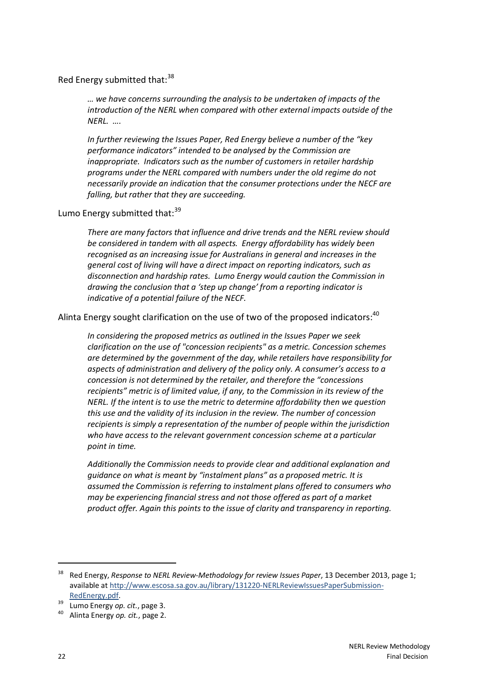#### Red Energy submitted that: 38

*… we have concerns surrounding the analysis to be undertaken of impacts of the introduction of the NERL when compared with other external impacts outside of the NERL. ….*

*In further reviewing the Issues Paper, Red Energy believe a number of the "key performance indicators" intended to be analysed by the Commission are inappropriate. Indicators such as the number of customers in retailer hardship programs under the NERL compared with numbers under the old regime do not necessarily provide an indication that the consumer protections under the NECF are falling, but rather that they are succeeding.*

### Lumo Energy submitted that: $39$

*There are many factors that influence and drive trends and the NERL review should be considered in tandem with all aspects. Energy affordability has widely been recognised as an increasing issue for Australians in general and increases in the general cost of living will have a direct impact on reporting indicators, such as disconnection and hardship rates. Lumo Energy would caution the Commission in drawing the conclusion that a 'step up change' from a reporting indicator is indicative of a potential failure of the NECF.*

Alinta Energy sought clarification on the use of two of the proposed indicators:<sup>40</sup>

*In considering the proposed metrics as outlined in the Issues Paper we seek clarification on the use of "concession recipients" as a metric. Concession schemes are determined by the government of the day, while retailers have responsibility for aspects of administration and delivery of the policy only. A consumer's access to a concession is not determined by the retailer, and therefore the "concessions recipients" metric is of limited value, if any, to the Commission in its review of the NERL. If the intent is to use the metric to determine affordability then we question this use and the validity of its inclusion in the review. The number of concession recipients is simply a representation of the number of people within the jurisdiction who have access to the relevant government concession scheme at a particular point in time.*

*Additionally the Commission needs to provide clear and additional explanation and guidance on what is meant by "instalment plans" as a proposed metric. It is assumed the Commission is referring to instalment plans offered to consumers who may be experiencing financial stress and not those offered as part of a market product offer. Again this points to the issue of clarity and transparency in reporting.*

<sup>38</sup> Red Energy, *Response to NERL Review-Methodology for review Issues Paper*, 13 December 2013, page 1; available at [http://www.escosa.sa.gov.au/library/131220-NERLReviewIssuesPaperSubmission-](http://www.escosa.sa.gov.au/library/131220-NERLReviewIssuesPaperSubmission-RedEnergy.pdf)[RedEnergy.pdf.](http://www.escosa.sa.gov.au/library/131220-NERLReviewIssuesPaperSubmission-RedEnergy.pdf)

<sup>&</sup>lt;sup>39</sup> Lumo Energy *op. cit.*, page 3.

<sup>40</sup> Alinta Energy *op. cit.*, page 2.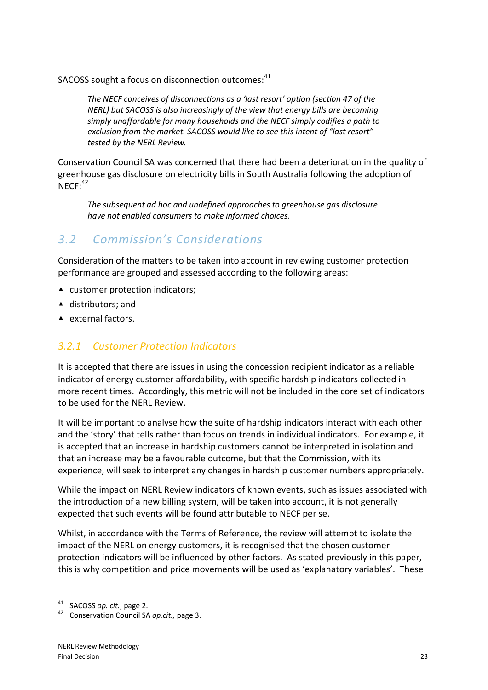SACOSS sought a focus on disconnection outcomes:<sup>41</sup>

*The NECF conceives of disconnections as a 'last resort' option (section 47 of the NERL) but SACOSS is also increasingly of the view that energy bills are becoming simply unaffordable for many households and the NECF simply codifies a path to exclusion from the market. SACOSS would like to see this intent of "last resort" tested by the NERL Review.*

Conservation Council SA was concerned that there had been a deterioration in the quality of greenhouse gas disclosure on electricity bills in South Australia following the adoption of  $NECF:$ <sup>42</sup>

*The subsequent ad hoc and undefined approaches to greenhouse gas disclosure have not enabled consumers to make informed choices.*

## *3.2 Commission's Considerations*

Consideration of the matters to be taken into account in reviewing customer protection performance are grouped and assessed according to the following areas:

- ▲ customer protection indicators;
- ▲ distributors; and
- ▲ external factors.

### *3.2.1 Customer Protection Indicators*

It is accepted that there are issues in using the concession recipient indicator as a reliable indicator of energy customer affordability, with specific hardship indicators collected in more recent times. Accordingly, this metric will not be included in the core set of indicators to be used for the NERL Review.

It will be important to analyse how the suite of hardship indicators interact with each other and the 'story' that tells rather than focus on trends in individual indicators. For example, it is accepted that an increase in hardship customers cannot be interpreted in isolation and that an increase may be a favourable outcome, but that the Commission, with its experience, will seek to interpret any changes in hardship customer numbers appropriately.

While the impact on NERL Review indicators of known events, such as issues associated with the introduction of a new billing system, will be taken into account, it is not generally expected that such events will be found attributable to NECF per se.

Whilst, in accordance with the Terms of Reference, the review will attempt to isolate the impact of the NERL on energy customers, it is recognised that the chosen customer protection indicators will be influenced by other factors. As stated previously in this paper, this is why competition and price movements will be used as 'explanatory variables'. These

SACOSS *op. cit.*, page 2.

<sup>42</sup> Conservation Council SA *op.cit.,* page 3.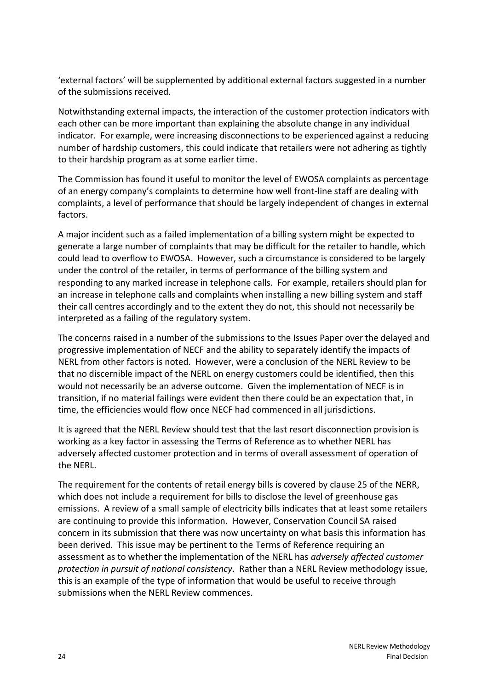'external factors' will be supplemented by additional external factors suggested in a number of the submissions received.

Notwithstanding external impacts, the interaction of the customer protection indicators with each other can be more important than explaining the absolute change in any individual indicator. For example, were increasing disconnections to be experienced against a reducing number of hardship customers, this could indicate that retailers were not adhering as tightly to their hardship program as at some earlier time.

The Commission has found it useful to monitor the level of EWOSA complaints as percentage of an energy company's complaints to determine how well front-line staff are dealing with complaints, a level of performance that should be largely independent of changes in external factors.

A major incident such as a failed implementation of a billing system might be expected to generate a large number of complaints that may be difficult for the retailer to handle, which could lead to overflow to EWOSA. However, such a circumstance is considered to be largely under the control of the retailer, in terms of performance of the billing system and responding to any marked increase in telephone calls. For example, retailers should plan for an increase in telephone calls and complaints when installing a new billing system and staff their call centres accordingly and to the extent they do not, this should not necessarily be interpreted as a failing of the regulatory system.

The concerns raised in a number of the submissions to the Issues Paper over the delayed and progressive implementation of NECF and the ability to separately identify the impacts of NERL from other factors is noted. However, were a conclusion of the NERL Review to be that no discernible impact of the NERL on energy customers could be identified, then this would not necessarily be an adverse outcome. Given the implementation of NECF is in transition, if no material failings were evident then there could be an expectation that, in time, the efficiencies would flow once NECF had commenced in all jurisdictions.

It is agreed that the NERL Review should test that the last resort disconnection provision is working as a key factor in assessing the Terms of Reference as to whether NERL has adversely affected customer protection and in terms of overall assessment of operation of the NERL.

The requirement for the contents of retail energy bills is covered by clause 25 of the NERR, which does not include a requirement for bills to disclose the level of greenhouse gas emissions. A review of a small sample of electricity bills indicates that at least some retailers are continuing to provide this information. However, Conservation Council SA raised concern in its submission that there was now uncertainty on what basis this information has been derived. This issue may be pertinent to the Terms of Reference requiring an assessment as to whether the implementation of the NERL has *adversely affected customer protection in pursuit of national consistency*. Rather than a NERL Review methodology issue, this is an example of the type of information that would be useful to receive through submissions when the NERL Review commences.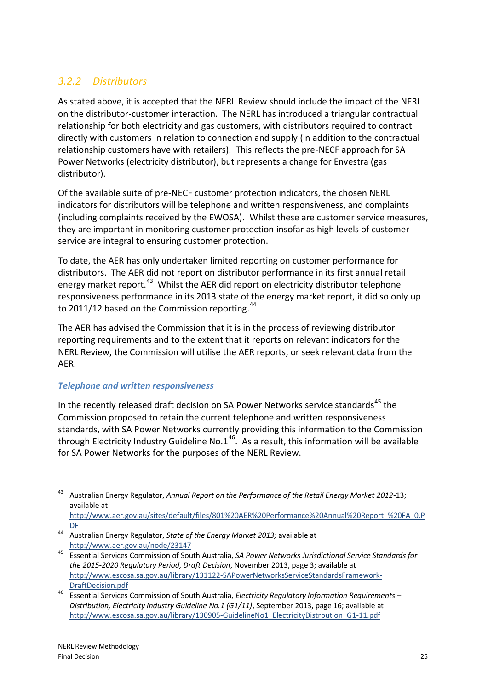### *3.2.2 Distributors*

As stated above, it is accepted that the NERL Review should include the impact of the NERL on the distributor-customer interaction. The NERL has introduced a triangular contractual relationship for both electricity and gas customers, with distributors required to contract directly with customers in relation to connection and supply (in addition to the contractual relationship customers have with retailers). This reflects the pre-NECF approach for SA Power Networks (electricity distributor), but represents a change for Envestra (gas distributor).

Of the available suite of pre-NECF customer protection indicators, the chosen NERL indicators for distributors will be telephone and written responsiveness, and complaints (including complaints received by the EWOSA). Whilst these are customer service measures, they are important in monitoring customer protection insofar as high levels of customer service are integral to ensuring customer protection.

To date, the AER has only undertaken limited reporting on customer performance for distributors. The AER did not report on distributor performance in its first annual retail energy market report.<sup>43</sup> Whilst the AER did report on electricity distributor telephone responsiveness performance in its 2013 state of the energy market report, it did so only up to 2011/12 based on the Commission reporting.<sup>44</sup>

The AER has advised the Commission that it is in the process of reviewing distributor reporting requirements and to the extent that it reports on relevant indicators for the NERL Review, the Commission will utilise the AER reports, or seek relevant data from the AER.

### *Telephone and written responsiveness*

In the recently released draft decision on SA Power Networks service standards<sup>45</sup> the Commission proposed to retain the current telephone and written responsiveness standards, with SA Power Networks currently providing this information to the Commission through Electricity Industry Guideline No.1<sup>46</sup>. As a result, this information will be available for SA Power Networks for the purposes of the NERL Review.

<sup>43</sup> Australian Energy Regulator, *Annual Report on the Performance of the Retail Energy Market 2012-*13; available at

[http://www.aer.gov.au/sites/default/files/801%20AER%20Performance%20Annual%20Report\\_%20FA\\_0.P](http://www.aer.gov.au/sites/default/files/801%20AER%20Performance%20Annual%20Report_%20FA_0.PDF) [DF](http://www.aer.gov.au/sites/default/files/801%20AER%20Performance%20Annual%20Report_%20FA_0.PDF)

<sup>44</sup> Australian Energy Regulator, *State of the Energy Market 2013;* available at <http://www.aer.gov.au/node/23147>

<sup>45</sup> Essential Services Commission of South Australia, *SA Power Networks Jurisdictional Service Standards for the 2015-2020 Regulatory Period, Draft Decision*, November 2013, page 3; available at [http://www.escosa.sa.gov.au/library/131122-SAPowerNetworksServiceStandardsFramework-](http://www.escosa.sa.gov.au/library/131122-SAPowerNetworksServiceStandardsFramework-DraftDecision.pdf)[DraftDecision.pdf](http://www.escosa.sa.gov.au/library/131122-SAPowerNetworksServiceStandardsFramework-DraftDecision.pdf)

<sup>46</sup> Essential Services Commission of South Australia, *Electricity Regulatory Information Requirements – Distribution, Electricity Industry Guideline No.1 (G1/11)*, September 2013, page 16; available at [http://www.escosa.sa.gov.au/library/130905-GuidelineNo1\\_ElectricityDistrbution\\_G1-11.pdf](http://www.escosa.sa.gov.au/library/130905-GuidelineNo1_ElectricityDistrbution_G1-11.pdf)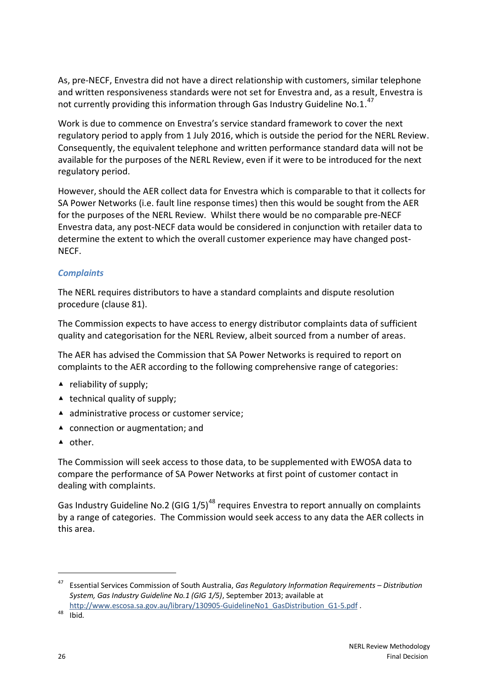As, pre-NECF, Envestra did not have a direct relationship with customers, similar telephone and written responsiveness standards were not set for Envestra and, as a result, Envestra is not currently providing this information through Gas Industry Guideline No.1. $^{47}$ 

Work is due to commence on Envestra's service standard framework to cover the next regulatory period to apply from 1 July 2016, which is outside the period for the NERL Review. Consequently, the equivalent telephone and written performance standard data will not be available for the purposes of the NERL Review, even if it were to be introduced for the next regulatory period.

However, should the AER collect data for Envestra which is comparable to that it collects for SA Power Networks (i.e. fault line response times) then this would be sought from the AER for the purposes of the NERL Review. Whilst there would be no comparable pre-NECF Envestra data, any post-NECF data would be considered in conjunction with retailer data to determine the extent to which the overall customer experience may have changed post-NECF.

### *Complaints*

The NERL requires distributors to have a standard complaints and dispute resolution procedure (clause 81).

The Commission expects to have access to energy distributor complaints data of sufficient quality and categorisation for the NERL Review, albeit sourced from a number of areas.

The AER has advised the Commission that SA Power Networks is required to report on complaints to the AER according to the following comprehensive range of categories:

- $\triangle$  reliability of supply;
- $\triangle$  technical quality of supply;
- ▲ administrative process or customer service;
- ▲ connection or augmentation; and
- ▲ other.

The Commission will seek access to those data, to be supplemented with EWOSA data to compare the performance of SA Power Networks at first point of customer contact in dealing with complaints.

Gas Industry Guideline No.2 (GIG  $1/5$ )<sup>48</sup> requires Envestra to report annually on complaints by a range of categories. The Commission would seek access to any data the AER collects in this area.

<sup>47</sup> Essential Services Commission of South Australia, *Gas Regulatory Information Requirements – Distribution System, Gas Industry Guideline No.1 (GIG 1/5)*, September 2013; available at

[http://www.escosa.sa.gov.au/library/130905-GuidelineNo1\\_GasDistribution\\_G1-5.pdf](http://www.escosa.sa.gov.au/library/130905-GuidelineNo1_GasDistribution_G1-5.pdf) .

<sup>48</sup> Ibid.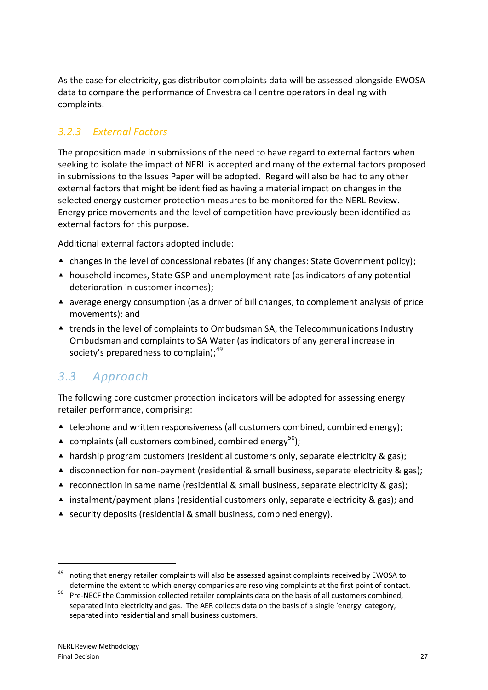As the case for electricity, gas distributor complaints data will be assessed alongside EWOSA data to compare the performance of Envestra call centre operators in dealing with complaints.

### *3.2.3 External Factors*

The proposition made in submissions of the need to have regard to external factors when seeking to isolate the impact of NERL is accepted and many of the external factors proposed in submissions to the Issues Paper will be adopted. Regard will also be had to any other external factors that might be identified as having a material impact on changes in the selected energy customer protection measures to be monitored for the NERL Review. Energy price movements and the level of competition have previously been identified as external factors for this purpose.

Additional external factors adopted include:

- ▲ changes in the level of concessional rebates (if any changes: State Government policy);
- ▲ household incomes, State GSP and unemployment rate (as indicators of any potential deterioration in customer incomes);
- ▲ average energy consumption (as a driver of bill changes, to complement analysis of price movements); and
- ▲ trends in the level of complaints to Ombudsman SA, the Telecommunications Industry Ombudsman and complaints to SA Water (as indicators of any general increase in society's preparedness to complain): <sup>49</sup>

## *3.3 Approach*

The following core customer protection indicators will be adopted for assessing energy retailer performance, comprising:

- $\triangle$  telephone and written responsiveness (all customers combined, combined energy);
- **▲ complaints (all customers combined, combined energy**<sup>50</sup>);
- ▲ hardship program customers (residential customers only, separate electricity & gas);
- ▲ disconnection for non-payment (residential & small business, separate electricity & gas);
- ▲ reconnection in same name (residential & small business, separate electricity & gas);
- ▲ instalment/payment plans (residential customers only, separate electricity & gas); and
- ▲ security deposits (residential & small business, combined energy).

<sup>49</sup> noting that energy retailer complaints will also be assessed against complaints received by EWOSA to determine the extent to which energy companies are resolving complaints at the first point of contact.

<sup>&</sup>lt;sup>50</sup> Pre-NECF the Commission collected retailer complaints data on the basis of all customers combined, separated into electricity and gas. The AER collects data on the basis of a single 'energy' category, separated into residential and small business customers.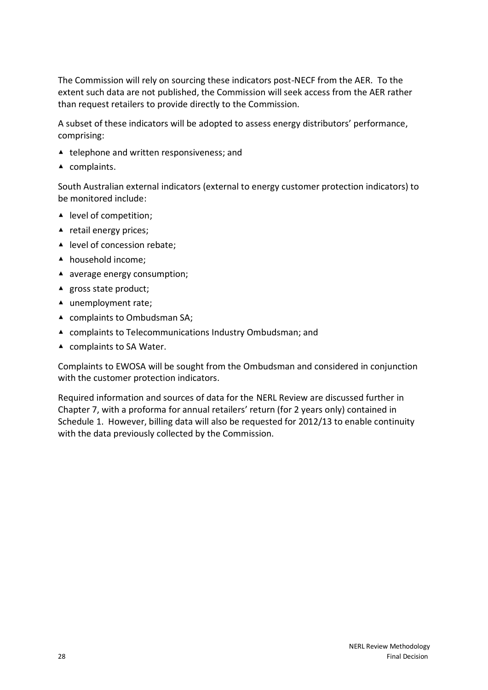The Commission will rely on sourcing these indicators post-NECF from the AER. To the extent such data are not published, the Commission will seek access from the AER rather than request retailers to provide directly to the Commission.

A subset of these indicators will be adopted to assess energy distributors' performance, comprising:

- ▲ telephone and written responsiveness; and
- ▲ complaints.

South Australian external indicators (external to energy customer protection indicators) to be monitored include:

- ▲ level of competition;
- ▲ retail energy prices;
- ▲ level of concession rebate;
- ▲ household income;
- ▲ average energy consumption;
- ▲ gross state product;
- ▲ unemployment rate;
- ▲ complaints to Ombudsman SA;
- ▲ complaints to Telecommunications Industry Ombudsman; and
- ▲ complaints to SA Water.

Complaints to EWOSA will be sought from the Ombudsman and considered in conjunction with the customer protection indicators.

Required information and sources of data for the NERL Review are discussed further in Chapter 7, with a proforma for annual retailers' return (for 2 years only) contained in Schedule 1. However, billing data will also be requested for 2012/13 to enable continuity with the data previously collected by the Commission.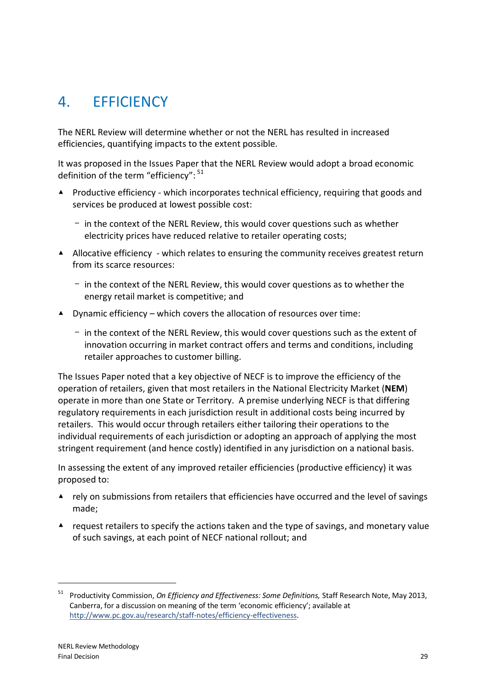## <span id="page-34-0"></span>4. EFFICIENCY

The NERL Review will determine whether or not the NERL has resulted in increased efficiencies, quantifying impacts to the extent possible.

It was proposed in the Issues Paper that the NERL Review would adopt a broad economic definition of the term "efficiency":  $51$ 

- ▲ Productive efficiency which incorporates technical efficiency, requiring that goods and services be produced at lowest possible cost:
	- in the context of the NERL Review, this would cover questions such as whether electricity prices have reduced relative to retailer operating costs;
- ▲ Allocative efficiency which relates to ensuring the community receives greatest return from its scarce resources:
	- in the context of the NERL Review, this would cover questions as to whether the energy retail market is competitive; and
- $\blacktriangle$  Dynamic efficiency which covers the allocation of resources over time:
	- $-$  in the context of the NERL Review, this would cover questions such as the extent of innovation occurring in market contract offers and terms and conditions, including retailer approaches to customer billing.

The Issues Paper noted that a key objective of NECF is to improve the efficiency of the operation of retailers, given that most retailers in the National Electricity Market (**NEM**) operate in more than one State or Territory. A premise underlying NECF is that differing regulatory requirements in each jurisdiction result in additional costs being incurred by retailers. This would occur through retailers either tailoring their operations to the individual requirements of each jurisdiction or adopting an approach of applying the most stringent requirement (and hence costly) identified in any jurisdiction on a national basis.

In assessing the extent of any improved retailer efficiencies (productive efficiency) it was proposed to:

- ▲ rely on submissions from retailers that efficiencies have occurred and the level of savings made;
- ▲ request retailers to specify the actions taken and the type of savings, and monetary value of such savings, at each point of NECF national rollout; and

<sup>51</sup> Productivity Commission, *On Efficiency and Effectiveness: Some Definitions,* Staff Research Note, May 2013, Canberra, for a discussion on meaning of the term 'economic efficiency'; available at [http://www.pc.gov.au/research/staff-notes/efficiency-effectiveness.](http://www.pc.gov.au/research/staff-notes/efficiency-effectiveness)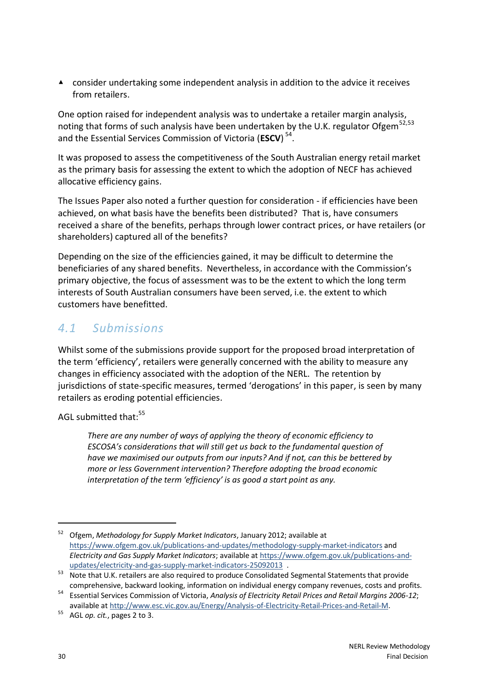▲ consider undertaking some independent analysis in addition to the advice it receives from retailers.

One option raised for independent analysis was to undertake a retailer margin analysis, noting that forms of such analysis have been undertaken by the U.K. regulator Ofgem<sup>52,53</sup> and the Essential Services Commission of Victoria (**ESCV**) 54 .

It was proposed to assess the competitiveness of the South Australian energy retail market as the primary basis for assessing the extent to which the adoption of NECF has achieved allocative efficiency gains.

The Issues Paper also noted a further question for consideration - if efficiencies have been achieved, on what basis have the benefits been distributed? That is, have consumers received a share of the benefits, perhaps through lower contract prices, or have retailers (or shareholders) captured all of the benefits?

Depending on the size of the efficiencies gained, it may be difficult to determine the beneficiaries of any shared benefits. Nevertheless, in accordance with the Commission's primary objective, the focus of assessment was to be the extent to which the long term interests of South Australian consumers have been served, i.e. the extent to which customers have benefitted.

### *4.1 Submissions*

Whilst some of the submissions provide support for the proposed broad interpretation of the term 'efficiency', retailers were generally concerned with the ability to measure any changes in efficiency associated with the adoption of the NERL. The retention by jurisdictions of state-specific measures, termed 'derogations' in this paper, is seen by many retailers as eroding potential efficiencies.

AGL submitted that:<sup>55</sup>

*There are any number of ways of applying the theory of economic efficiency to ESCOSA's considerations that will still get us back to the fundamental question of have we maximised our outputs from our inputs? And if not, can this be bettered by more or less Government intervention? Therefore adopting the broad economic interpretation of the term 'efficiency' is as good a start point as any.*

<sup>52</sup> Ofgem, *Methodology for Supply Market Indicators*, January 2012; available at <https://www.ofgem.gov.uk/publications-and-updates/methodology-supply-market-indicators> and *Electricity and Gas Supply Market Indicators*; available at [https://www.ofgem.gov.uk/publications-and](https://www.ofgem.gov.uk/publications-and-updates/electricity-and-gas-supply-market-indicators-25092013)[updates/electricity-and-gas-supply-market-indicators-25092013](https://www.ofgem.gov.uk/publications-and-updates/electricity-and-gas-supply-market-indicators-25092013) .

<sup>53</sup> Note that U.K. retailers are also required to produce Consolidated Segmental Statements that provide comprehensive, backward looking, information on individual energy company revenues, costs and profits.

<sup>54</sup> Essential Services Commission of Victoria, *Analysis of Electricity Retail Prices and Retail Margins 2006-12*; available at [http://www.esc.vic.gov.au/Energy/Analysis-of-Electricity-Retail-Prices-and-Retail-M.](http://www.esc.vic.gov.au/Energy/Analysis-of-Electricity-Retail-Prices-and-Retail-M)

<sup>55</sup> AGL *op. cit.*, pages 2 to 3.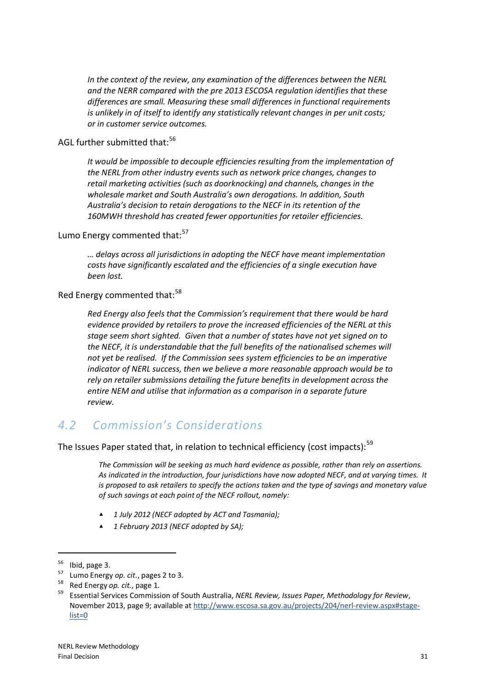*In the context of the review, any examination of the differences between the NERL and the NERR compared with the pre 2013 ESCOSA regulation identifies that these differences are small. Measuring these small differences in functional requirements is unlikely in of itself to identify any statistically relevant changes in per unit costs; or in customer service outcomes.*

### AGL further submitted that:<sup>56</sup>

*It would be impossible to decouple efficiencies resulting from the implementation of the NERL from other industry events such as network price changes, changes to retail marketing activities (such as doorknocking) and channels, changes in the wholesale market and South Australia's own derogations. In addition, South Australia's decision to retain derogations to the NECF in its retention of the 160MWH threshold has created fewer opportunities for retailer efficiencies.*

Lumo Energy commented that:<sup>57</sup>

*… delays across all jurisdictions in adopting the NECF have meant implementation costs have significantly escalated and the efficiencies of a single execution have been lost.*

Red Energy commented that:<sup>58</sup>

*Red Energy also feels that the Commission's requirement that there would be hard evidence provided by retailers to prove the increased efficiencies of the NERL at this stage seem short sighted. Given that a number of states have not yet signed on to the NECF, it is understandable that the full benefits of the nationalised schemes will not yet be realised. If the Commission sees system efficiencies to be an imperative indicator of NERL success, then we believe a more reasonable approach would be to rely on retailer submissions detailing the future benefits in development across the entire NEM and utilise that information as a comparison in a separate future review.*

## *4.2 Commission's Considerations*

The Issues Paper stated that, in relation to technical efficiency (cost impacts):<sup>59</sup>

*The Commission will be seeking as much hard evidence as possible, rather than rely on assertions. As indicated in the introduction, four jurisdictions have now adopted NECF, and at varying times. It is proposed to ask retailers to specify the actions taken and the type of savings and monetary value of such savings at each point of the NECF rollout, namely:*

- ▲ *1 July 2012 (NECF adopted by ACT and Tasmania);*
- ▲ *1 February 2013 (NECF adopted by SA);*

 $56$  Ibid, page 3.

<sup>&</sup>lt;sup>57</sup> Lumo Energy *op. cit.*, pages 2 to 3.

<sup>58</sup> Red Energy *op. cit.*, page 1.

<sup>59</sup> Essential Services Commission of South Australia, *NERL Review, Issues Paper, Methodology for Review*, November 2013, page 9; available at [http://www.escosa.sa.gov.au/projects/204/nerl-review.aspx#stage](http://www.escosa.sa.gov.au/projects/204/nerl-review.aspx#stage-list=0)[list=0](http://www.escosa.sa.gov.au/projects/204/nerl-review.aspx#stage-list=0)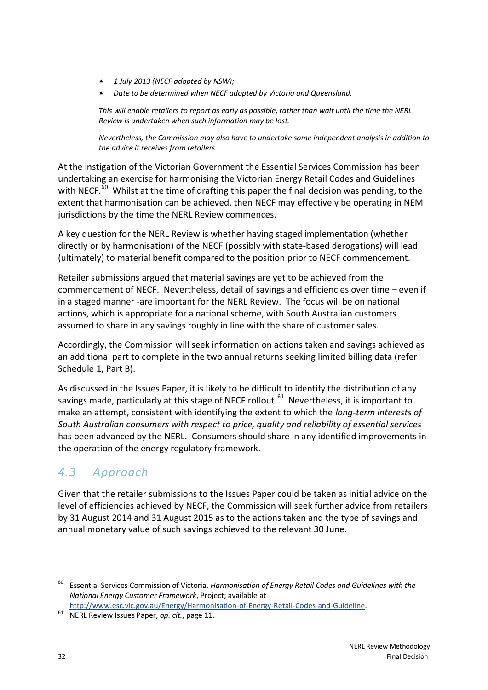- ▲ *1 July 2013 (NECF adopted by NSW);*
- ▲ *Date to be determined when NECF adopted by Victoria and Queensland.*

*This will enable retailers to report as early as possible, rather than wait until the time the NERL Review is undertaken when such information may be lost.*

*Nevertheless, the Commission may also have to undertake some independent analysis in addition to the advice it receives from retailers.*

At the instigation of the Victorian Government the Essential Services Commission has been undertaking an exercise for harmonising the Victorian Energy Retail Codes and Guidelines with NECF.<sup>60</sup> Whilst at the time of drafting this paper the final decision was pending, to the extent that harmonisation can be achieved, then NECF may effectively be operating in NEM jurisdictions by the time the NERL Review commences.

A key question for the NERL Review is whether having staged implementation (whether directly or by harmonisation) of the NECF (possibly with state-based derogations) will lead (ultimately) to material benefit compared to the position prior to NECF commencement.

Retailer submissions argued that material savings are yet to be achieved from the commencement of NECF. Nevertheless, detail of savings and efficiencies over time – even if in a staged manner -are important for the NERL Review. The focus will be on national actions, which is appropriate for a national scheme, with South Australian customers assumed to share in any savings roughly in line with the share of customer sales.

Accordingly, the Commission will seek information on actions taken and savings achieved as an additional part to complete in the two annual returns seeking limited billing data (refer Schedule 1, Part B).

As discussed in the Issues Paper, it is likely to be difficult to identify the distribution of any savings made, particularly at this stage of NECF rollout.<sup>61</sup> Nevertheless, it is important to make an attempt, consistent with identifying the extent to which the *long-term interests of South Australian consumers with respect to price, quality and reliability of essential services* has been advanced by the NERL. Consumers should share in any identified improvements in the operation of the energy regulatory framework.

## *4.3 Approach*

Given that the retailer submissions to the Issues Paper could be taken as initial advice on the level of efficiencies achieved by NECF, the Commission will seek further advice from retailers by 31 August 2014 and 31 August 2015 as to the actions taken and the type of savings and annual monetary value of such savings achieved to the relevant 30 June.

<sup>60</sup> Essential Services Commission of Victoria, *Harmonisation of Energy Retail Codes and Guidelines with the National Energy Customer Framework*, Project; available at

[http://www.esc.vic.gov.au/Energy/Harmonisation-of-Energy-Retail-Codes-and-Guideline.](http://www.esc.vic.gov.au/Energy/Harmonisation-of-Energy-Retail-Codes-and-Guideline)

<sup>61</sup> NERL Review Issues Paper, *op. cit.*, page 11.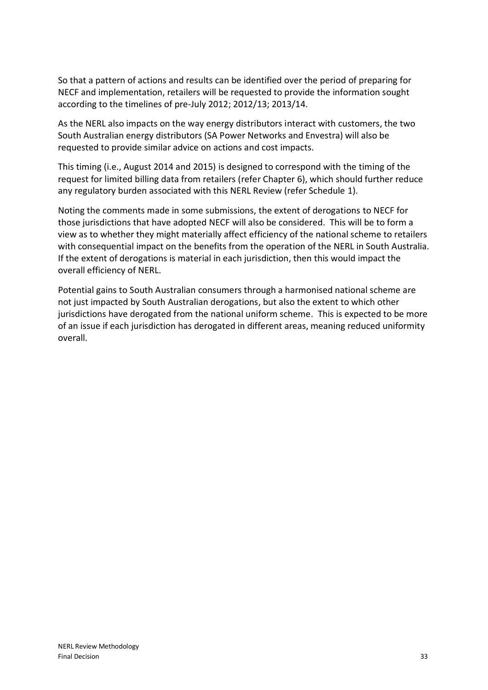So that a pattern of actions and results can be identified over the period of preparing for NECF and implementation, retailers will be requested to provide the information sought according to the timelines of pre-July 2012; 2012/13; 2013/14.

As the NERL also impacts on the way energy distributors interact with customers, the two South Australian energy distributors (SA Power Networks and Envestra) will also be requested to provide similar advice on actions and cost impacts.

This timing (i.e., August 2014 and 2015) is designed to correspond with the timing of the request for limited billing data from retailers (refer Chapter 6), which should further reduce any regulatory burden associated with this NERL Review (refer Schedule 1).

Noting the comments made in some submissions, the extent of derogations to NECF for those jurisdictions that have adopted NECF will also be considered. This will be to form a view as to whether they might materially affect efficiency of the national scheme to retailers with consequential impact on the benefits from the operation of the NERL in South Australia. If the extent of derogations is material in each jurisdiction, then this would impact the overall efficiency of NERL.

Potential gains to South Australian consumers through a harmonised national scheme are not just impacted by South Australian derogations, but also the extent to which other jurisdictions have derogated from the national uniform scheme. This is expected to be more of an issue if each jurisdiction has derogated in different areas, meaning reduced uniformity overall.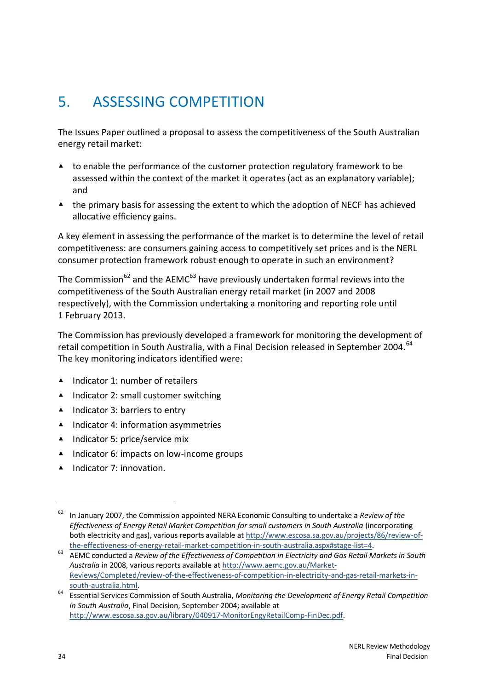# <span id="page-39-0"></span>5. ASSESSING COMPETITION

The Issues Paper outlined a proposal to assess the competitiveness of the South Australian energy retail market:

- ▲ to enable the performance of the customer protection regulatory framework to be assessed within the context of the market it operates (act as an explanatory variable); and
- ▲ the primary basis for assessing the extent to which the adoption of NECF has achieved allocative efficiency gains.

A key element in assessing the performance of the market is to determine the level of retail competitiveness: are consumers gaining access to competitively set prices and is the NERL consumer protection framework robust enough to operate in such an environment?

The Commission<sup>62</sup> and the AEMC<sup>63</sup> have previously undertaken formal reviews into the competitiveness of the South Australian energy retail market (in 2007 and 2008 respectively), with the Commission undertaking a monitoring and reporting role until 1 February 2013.

The Commission has previously developed a framework for monitoring the development of retail competition in South Australia, with a Final Decision released in September 2004.<sup>64</sup> The key monitoring indicators identified were:

- ▲ Indicator 1: number of retailers
- ▲ Indicator 2: small customer switching
- ▲ Indicator 3: barriers to entry
- ▲ Indicator 4: information asymmetries
- ▲ Indicator 5: price/service mix
- ▲ Indicator 6: impacts on low-income groups
- ▲ Indicator 7: innovation.

<sup>62</sup> In January 2007, the Commission appointed NERA Economic Consulting to undertake a *Review of the Effectiveness of Energy Retail Market Competition for small customers in South Australia* (incorporating both electricity and gas), various reports available at [http://www.escosa.sa.gov.au/projects/86/review-of](http://www.escosa.sa.gov.au/projects/86/review-of-the-effectiveness-of-energy-retail-market-competition-in-south-australia.aspx#stage-list=4)[the-effectiveness-of-energy-retail-market-competition-in-south-australia.aspx#stage-list=4.](http://www.escosa.sa.gov.au/projects/86/review-of-the-effectiveness-of-energy-retail-market-competition-in-south-australia.aspx#stage-list=4)

<sup>63</sup> AEMC conducted a *Review of the Effectiveness of Competition in Electricity and Gas Retail Markets in South Australia* in 2008, various reports available a[t http://www.aemc.gov.au/Market-](http://www.aemc.gov.au/Market-Reviews/Completed/review-of-the-effectiveness-of-competition-in-electricity-and-gas-retail-markets-in-south-australia.html)[Reviews/Completed/review-of-the-effectiveness-of-competition-in-electricity-and-gas-retail-markets-in](http://www.aemc.gov.au/Market-Reviews/Completed/review-of-the-effectiveness-of-competition-in-electricity-and-gas-retail-markets-in-south-australia.html)[south-australia.html.](http://www.aemc.gov.au/Market-Reviews/Completed/review-of-the-effectiveness-of-competition-in-electricity-and-gas-retail-markets-in-south-australia.html)

<sup>64</sup> Essential Services Commission of South Australia, *Monitoring the Development of Energy Retail Competition in South Australia*, Final Decision, September 2004; available at [http://www.escosa.sa.gov.au/library/040917-MonitorEngyRetailComp-FinDec.pdf.](http://www.escosa.sa.gov.au/library/040917-MonitorEngyRetailComp-FinDec.pdf)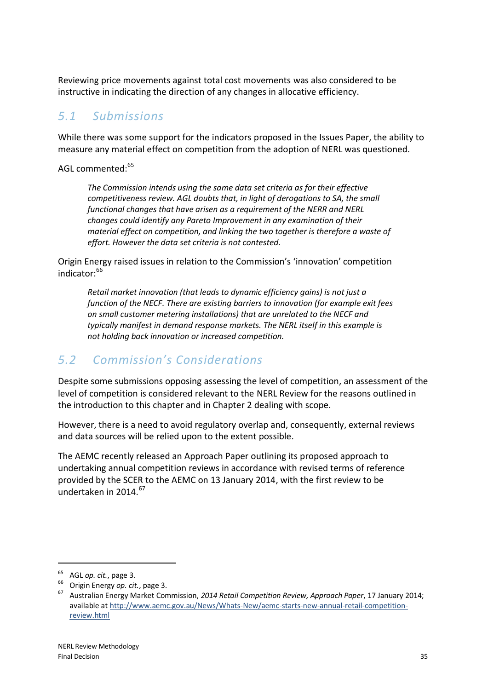Reviewing price movements against total cost movements was also considered to be instructive in indicating the direction of any changes in allocative efficiency.

## *5.1 Submissions*

While there was some support for the indicators proposed in the Issues Paper, the ability to measure any material effect on competition from the adoption of NERL was questioned.

AGL commented:<sup>65</sup>

*The Commission intends using the same data set criteria as for their effective competitiveness review. AGL doubts that, in light of derogations to SA, the small functional changes that have arisen as a requirement of the NERR and NERL changes could identify any Pareto Improvement in any examination of their material effect on competition, and linking the two together is therefore a waste of effort. However the data set criteria is not contested.*

Origin Energy raised issues in relation to the Commission's 'innovation' competition indicator:<sup>66</sup>

*Retail market innovation (that leads to dynamic efficiency gains) is not just a function of the NECF. There are existing barriers to innovation (for example exit fees on small customer metering installations) that are unrelated to the NECF and typically manifest in demand response markets. The NERL itself in this example is not holding back innovation or increased competition.*

## *5.2 Commission's Considerations*

Despite some submissions opposing assessing the level of competition, an assessment of the level of competition is considered relevant to the NERL Review for the reasons outlined in the introduction to this chapter and in Chapter 2 dealing with scope.

However, there is a need to avoid regulatory overlap and, consequently, external reviews and data sources will be relied upon to the extent possible.

The AEMC recently released an Approach Paper outlining its proposed approach to undertaking annual competition reviews in accordance with revised terms of reference provided by the SCER to the AEMC on 13 January 2014, with the first review to be undertaken in 2014. 67

<sup>65</sup> AGL *op. cit.*, page 3.

<sup>66</sup> Origin Energy *op. cit.*, page 3.

<sup>67</sup> Australian Energy Market Commission, *2014 Retail Competition Review, Approach Paper*, 17 January 2014; available at [http://www.aemc.gov.au/News/Whats-New/aemc-starts-new-annual-retail-competition](http://www.aemc.gov.au/News/Whats-New/aemc-starts-new-annual-retail-competition-review.html)[review.html](http://www.aemc.gov.au/News/Whats-New/aemc-starts-new-annual-retail-competition-review.html)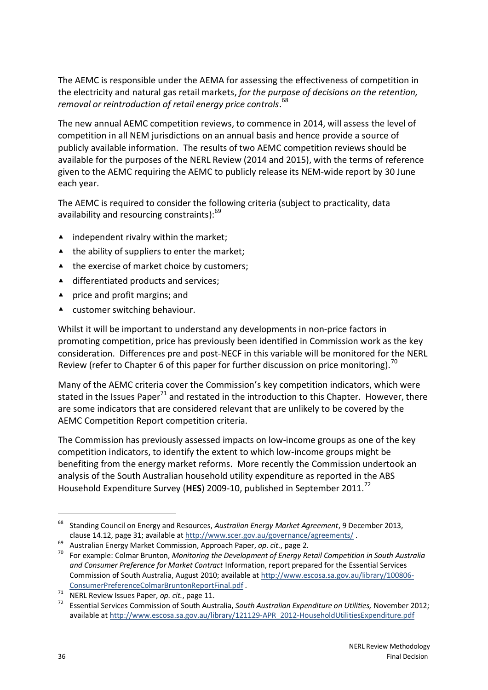The AEMC is responsible under the AEMA for assessing the effectiveness of competition in the electricity and natural gas retail markets, *for the purpose of decisions on the retention, removal or reintroduction of retail energy price controls*. 68

The new annual AEMC competition reviews, to commence in 2014, will assess the level of competition in all NEM jurisdictions on an annual basis and hence provide a source of publicly available information. The results of two AEMC competition reviews should be available for the purposes of the NERL Review (2014 and 2015), with the terms of reference given to the AEMC requiring the AEMC to publicly release its NEM-wide report by 30 June each year.

The AEMC is required to consider the following criteria (subject to practicality, data availability and resourcing constraints):<sup>69</sup>

- $\blacktriangle$  independent rivalry within the market;
- ▲ the ability of suppliers to enter the market;
- ▲ the exercise of market choice by customers;
- ▲ differentiated products and services;
- ▲ price and profit margins; and
- ▲ customer switching behaviour.

Whilst it will be important to understand any developments in non-price factors in promoting competition, price has previously been identified in Commission work as the key consideration. Differences pre and post-NECF in this variable will be monitored for the NERL Review (refer to Chapter 6 of this paper for further discussion on price monitoring).<sup>70</sup>

Many of the AEMC criteria cover the Commission's key competition indicators, which were stated in the Issues Paper<sup>71</sup> and restated in the introduction to this Chapter. However, there are some indicators that are considered relevant that are unlikely to be covered by the AEMC Competition Report competition criteria.

The Commission has previously assessed impacts on low-income groups as one of the key competition indicators, to identify the extent to which low-income groups might be benefiting from the energy market reforms. More recently the Commission undertook an analysis of the South Australian household utility expenditure as reported in the ABS Household Expenditure Survey (**HES**) 2009-10, published in September 2011. 72

<sup>68</sup> Standing Council on Energy and Resources, *Australian Energy Market Agreement*, 9 December 2013, clause 14.12, page 31; available at<http://www.scer.gov.au/governance/agreements/> .

<sup>69</sup> Australian Energy Market Commission, Approach Paper, *op. cit.*, page 2.

<sup>70</sup> For example: Colmar Brunton, *Monitoring the Development of Energy Retail Competition in South Australia and Consumer Preference for Market Contract* Information, report prepared for the Essential Services Commission of South Australia, August 2010; available a[t http://www.escosa.sa.gov.au/library/100806-](http://www.escosa.sa.gov.au/library/100806-ConsumerPreferenceColmarBruntonReportFinal.pdf) [ConsumerPreferenceColmarBruntonReportFinal.pdf](http://www.escosa.sa.gov.au/library/100806-ConsumerPreferenceColmarBruntonReportFinal.pdf) .

<sup>71</sup> NERL Review Issues Paper, *op. cit.*, page 11.

<sup>72</sup> Essential Services Commission of South Australia, *South Australian Expenditure on Utilities,* November 2012; available at [http://www.escosa.sa.gov.au/library/121129-APR\\_2012-HouseholdUtilitiesExpenditure.pdf](http://www.escosa.sa.gov.au/library/121129-APR_2012-HouseholdUtilitiesExpenditure.pdf)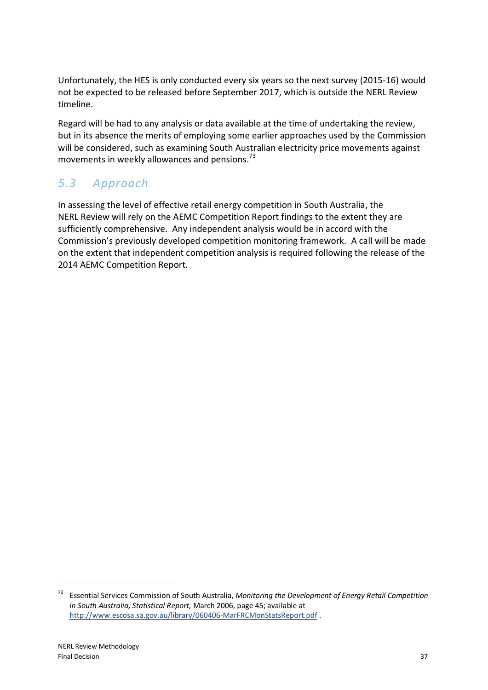Unfortunately, the HES is only conducted every six years so the next survey (2015-16) would not be expected to be released before September 2017, which is outside the NERL Review timeline.

Regard will be had to any analysis or data available at the time of undertaking the review, but in its absence the merits of employing some earlier approaches used by the Commission will be considered, such as examining South Australian electricity price movements against movements in weekly allowances and pensions.<sup>73</sup>

## *5.3 Approach*

In assessing the level of effective retail energy competition in South Australia, the NERL Review will rely on the AEMC Competition Report findings to the extent they are sufficiently comprehensive. Any independent analysis would be in accord with the Commission's previously developed competition monitoring framework. A call will be made on the extent that independent competition analysis is required following the release of the 2014 AEMC Competition Report.

<sup>73</sup> Essential Services Commission of South Australia, *Monitoring the Development of Energy Retail Competition in South Australia, Statistical Report,* March 2006, page 45; available at <http://www.escosa.sa.gov.au/library/060406-MarFRCMonStatsReport.pdf> .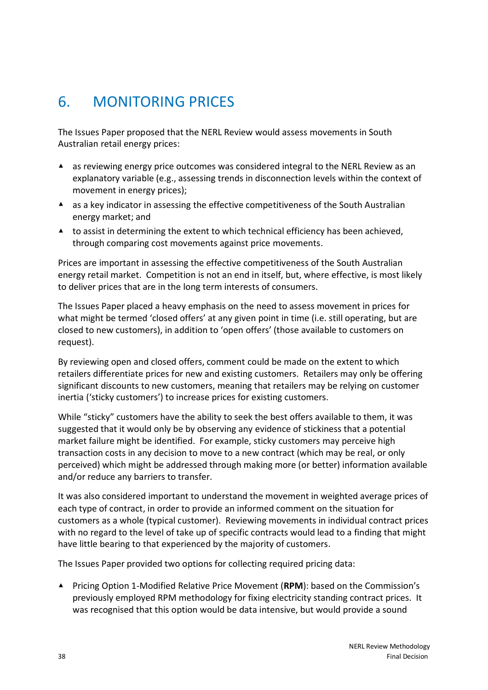## <span id="page-43-0"></span>6. MONITORING PRICES

The Issues Paper proposed that the NERL Review would assess movements in South Australian retail energy prices:

- ▲ as reviewing energy price outcomes was considered integral to the NERL Review as an explanatory variable (e.g., assessing trends in disconnection levels within the context of movement in energy prices);
- ▲ as a key indicator in assessing the effective competitiveness of the South Australian energy market; and
- $\blacktriangle$  to assist in determining the extent to which technical efficiency has been achieved, through comparing cost movements against price movements.

Prices are important in assessing the effective competitiveness of the South Australian energy retail market. Competition is not an end in itself, but, where effective, is most likely to deliver prices that are in the long term interests of consumers.

The Issues Paper placed a heavy emphasis on the need to assess movement in prices for what might be termed 'closed offers' at any given point in time (i.e. still operating, but are closed to new customers), in addition to 'open offers' (those available to customers on request).

By reviewing open and closed offers, comment could be made on the extent to which retailers differentiate prices for new and existing customers. Retailers may only be offering significant discounts to new customers, meaning that retailers may be relying on customer inertia ('sticky customers') to increase prices for existing customers.

While "sticky" customers have the ability to seek the best offers available to them, it was suggested that it would only be by observing any evidence of stickiness that a potential market failure might be identified. For example, sticky customers may perceive high transaction costs in any decision to move to a new contract (which may be real, or only perceived) which might be addressed through making more (or better) information available and/or reduce any barriers to transfer.

It was also considered important to understand the movement in weighted average prices of each type of contract, in order to provide an informed comment on the situation for customers as a whole (typical customer). Reviewing movements in individual contract prices with no regard to the level of take up of specific contracts would lead to a finding that might have little bearing to that experienced by the majority of customers.

The Issues Paper provided two options for collecting required pricing data:

▲ Pricing Option 1-Modified Relative Price Movement (**RPM**): based on the Commission's previously employed RPM methodology for fixing electricity standing contract prices. It was recognised that this option would be data intensive, but would provide a sound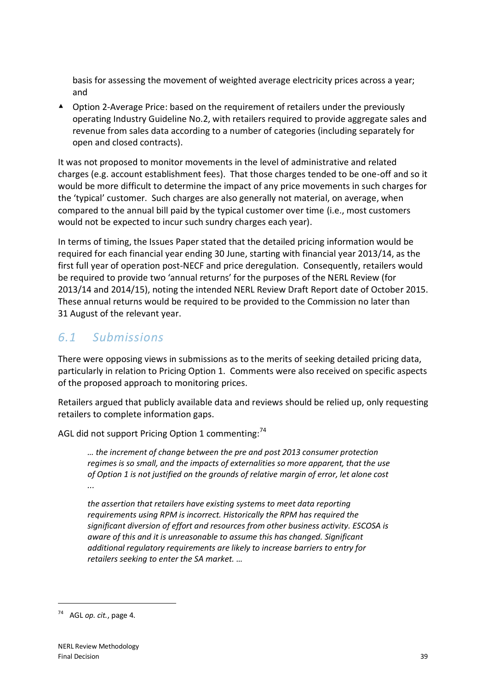basis for assessing the movement of weighted average electricity prices across a year; and

▲ Option 2-Average Price: based on the requirement of retailers under the previously operating Industry Guideline No.2, with retailers required to provide aggregate sales and revenue from sales data according to a number of categories (including separately for open and closed contracts).

It was not proposed to monitor movements in the level of administrative and related charges (e.g. account establishment fees). That those charges tended to be one-off and so it would be more difficult to determine the impact of any price movements in such charges for the 'typical' customer. Such charges are also generally not material, on average, when compared to the annual bill paid by the typical customer over time (i.e., most customers would not be expected to incur such sundry charges each year).

In terms of timing, the Issues Paper stated that the detailed pricing information would be required for each financial year ending 30 June, starting with financial year 2013/14, as the first full year of operation post-NECF and price deregulation. Consequently, retailers would be required to provide two 'annual returns' for the purposes of the NERL Review (for 2013/14 and 2014/15), noting the intended NERL Review Draft Report date of October 2015. These annual returns would be required to be provided to the Commission no later than 31 August of the relevant year.

## *6.1 Submissions*

There were opposing views in submissions as to the merits of seeking detailed pricing data, particularly in relation to Pricing Option 1. Comments were also received on specific aspects of the proposed approach to monitoring prices.

Retailers argued that publicly available data and reviews should be relied up, only requesting retailers to complete information gaps.

AGL did not support Pricing Option 1 commenting:<sup>74</sup>

*… the increment of change between the pre and post 2013 consumer protection regimes is so small, and the impacts of externalities so more apparent, that the use of Option 1 is not justified on the grounds of relative margin of error, let alone cost ...*

*the assertion that retailers have existing systems to meet data reporting requirements using RPM is incorrect. Historically the RPM has required the significant diversion of effort and resources from other business activity. ESCOSA is aware of this and it is unreasonable to assume this has changed. Significant additional regulatory requirements are likely to increase barriers to entry for retailers seeking to enter the SA market. …*

<sup>74</sup> AGL *op. cit.*, page 4.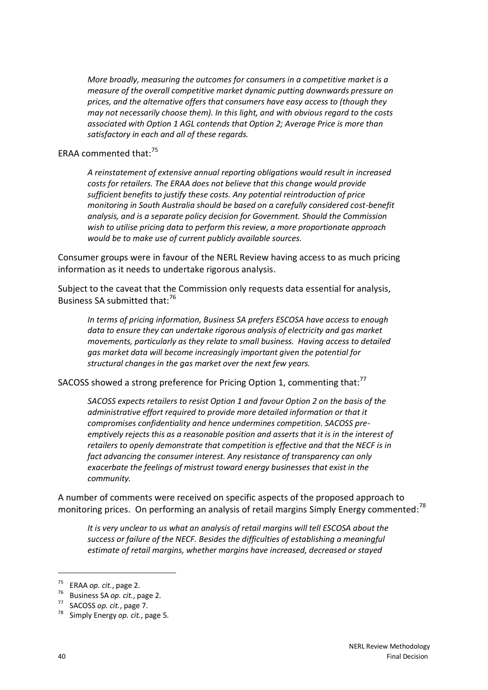*More broadly, measuring the outcomes for consumers in a competitive market is a measure of the overall competitive market dynamic putting downwards pressure on prices, and the alternative offers that consumers have easy access to (though they may not necessarily choose them). In this light, and with obvious regard to the costs associated with Option 1 AGL contends that Option 2; Average Price is more than satisfactory in each and all of these regards.*

ERAA commented that:<sup>75</sup>

*A reinstatement of extensive annual reporting obligations would result in increased costs for retailers. The ERAA does not believe that this change would provide sufficient benefits to justify these costs. Any potential reintroduction of price monitoring in South Australia should be based on a carefully considered cost-benefit analysis, and is a separate policy decision for Government. Should the Commission wish to utilise pricing data to perform this review, a more proportionate approach would be to make use of current publicly available sources.*

Consumer groups were in favour of the NERL Review having access to as much pricing information as it needs to undertake rigorous analysis.

Subject to the caveat that the Commission only requests data essential for analysis, Business SA submitted that:<sup>76</sup>

*In terms of pricing information, Business SA prefers ESCOSA have access to enough data to ensure they can undertake rigorous analysis of electricity and gas market movements, particularly as they relate to small business. Having access to detailed gas market data will become increasingly important given the potential for structural changes in the gas market over the next few years.*

SACOSS showed a strong preference for Pricing Option 1, commenting that:<sup>77</sup>

*SACOSS expects retailers to resist Option 1 and favour Option 2 on the basis of the administrative effort required to provide more detailed information or that it compromises confidentiality and hence undermines competition. SACOSS preemptively rejects this as a reasonable position and asserts that it is in the interest of retailers to openly demonstrate that competition is effective and that the NECF is in fact advancing the consumer interest. Any resistance of transparency can only exacerbate the feelings of mistrust toward energy businesses that exist in the community.*

A number of comments were received on specific aspects of the proposed approach to monitoring prices. On performing an analysis of retail margins Simply Energy commented:<sup>78</sup>

*It is very unclear to us what an analysis of retail margins will tell ESCOSA about the success or failure of the NECF. Besides the difficulties of establishing a meaningful estimate of retail margins, whether margins have increased, decreased or stayed* 

<sup>75</sup> ERAA *op. cit.*, page 2.

<sup>76</sup> Business SA *op. cit.*, page 2.

SACOSS *op. cit.*, page 7.

<sup>78</sup> Simply Energy *op. cit.*, page 5.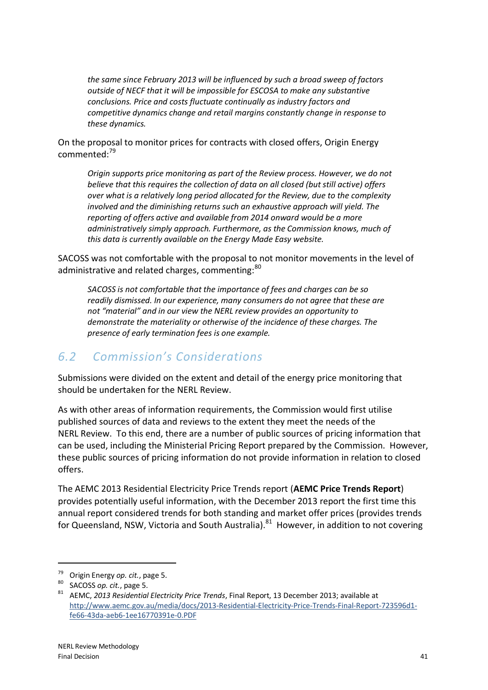*the same since February 2013 will be influenced by such a broad sweep of factors outside of NECF that it will be impossible for ESCOSA to make any substantive conclusions. Price and costs fluctuate continually as industry factors and competitive dynamics change and retail margins constantly change in response to these dynamics.*

On the proposal to monitor prices for contracts with closed offers, Origin Energy commented:<sup>79</sup>

*Origin supports price monitoring as part of the Review process. However, we do not believe that this requires the collection of data on all closed (but still active) offers over what is a relatively long period allocated for the Review, due to the complexity involved and the diminishing returns such an exhaustive approach will yield. The reporting of offers active and available from 2014 onward would be a more administratively simply approach. Furthermore, as the Commission knows, much of this data is currently available on the Energy Made Easy website.*

SACOSS was not comfortable with the proposal to not monitor movements in the level of administrative and related charges, commenting:<sup>80</sup>

*SACOSS is not comfortable that the importance of fees and charges can be so readily dismissed. In our experience, many consumers do not agree that these are not "material" and in our view the NERL review provides an opportunity to demonstrate the materiality or otherwise of the incidence of these charges. The presence of early termination fees is one example.*

### *6.2 Commission's Considerations*

Submissions were divided on the extent and detail of the energy price monitoring that should be undertaken for the NERL Review.

As with other areas of information requirements, the Commission would first utilise published sources of data and reviews to the extent they meet the needs of the NERL Review. To this end, there are a number of public sources of pricing information that can be used, including the Ministerial Pricing Report prepared by the Commission. However, these public sources of pricing information do not provide information in relation to closed offers.

The AEMC 2013 Residential Electricity Price Trends report (**AEMC Price Trends Report**) provides potentially useful information, with the December 2013 report the first time this annual report considered trends for both standing and market offer prices (provides trends for Queensland, NSW, Victoria and South Australia).<sup>81</sup> However, in addition to not covering

<sup>79</sup> Origin Energy *op. cit.*, page 5.

SACOSS *op. cit.*, page 5.

<sup>81</sup> AEMC, *2013 Residential Electricity Price Trends*, Final Report, 13 December 2013; available at [http://www.aemc.gov.au/media/docs/2013-Residential-Electricity-Price-Trends-Final-Report-723596d1](http://www.aemc.gov.au/media/docs/2013-Residential-Electricity-Price-Trends-Final-Report-723596d1-fe66-43da-aeb6-1ee16770391e-0.PDF) [fe66-43da-aeb6-1ee16770391e-0.PDF](http://www.aemc.gov.au/media/docs/2013-Residential-Electricity-Price-Trends-Final-Report-723596d1-fe66-43da-aeb6-1ee16770391e-0.PDF)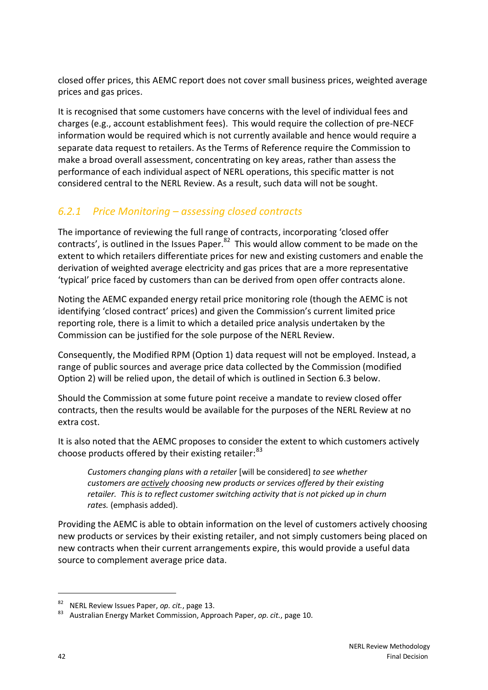closed offer prices, this AEMC report does not cover small business prices, weighted average prices and gas prices.

It is recognised that some customers have concerns with the level of individual fees and charges (e.g., account establishment fees). This would require the collection of pre-NECF information would be required which is not currently available and hence would require a separate data request to retailers. As the Terms of Reference require the Commission to make a broad overall assessment, concentrating on key areas, rather than assess the performance of each individual aspect of NERL operations, this specific matter is not considered central to the NERL Review. As a result, such data will not be sought.

### *6.2.1 Price Monitoring – assessing closed contracts*

The importance of reviewing the full range of contracts, incorporating 'closed offer contracts', is outlined in the Issues Paper.<sup>82</sup> This would allow comment to be made on the extent to which retailers differentiate prices for new and existing customers and enable the derivation of weighted average electricity and gas prices that are a more representative 'typical' price faced by customers than can be derived from open offer contracts alone.

Noting the AEMC expanded energy retail price monitoring role (though the AEMC is not identifying 'closed contract' prices) and given the Commission's current limited price reporting role, there is a limit to which a detailed price analysis undertaken by the Commission can be justified for the sole purpose of the NERL Review.

Consequently, the Modified RPM (Option 1) data request will not be employed. Instead, a range of public sources and average price data collected by the Commission (modified Option 2) will be relied upon, the detail of which is outlined in Section 6.3 below.

Should the Commission at some future point receive a mandate to review closed offer contracts, then the results would be available for the purposes of the NERL Review at no extra cost.

It is also noted that the AEMC proposes to consider the extent to which customers actively choose products offered by their existing retailer:<sup>83</sup>

*Customers changing plans with a retailer* [will be considered] *to see whether customers are actively choosing new products or services offered by their existing retailer. This is to reflect customer switching activity that is not picked up in churn rates.* (emphasis added).

Providing the AEMC is able to obtain information on the level of customers actively choosing new products or services by their existing retailer, and not simply customers being placed on new contracts when their current arrangements expire, this would provide a useful data source to complement average price data.

<sup>82</sup> NERL Review Issues Paper, *op. cit.*, page 13.

<sup>83</sup> Australian Energy Market Commission, Approach Paper, *op. cit.*, page 10.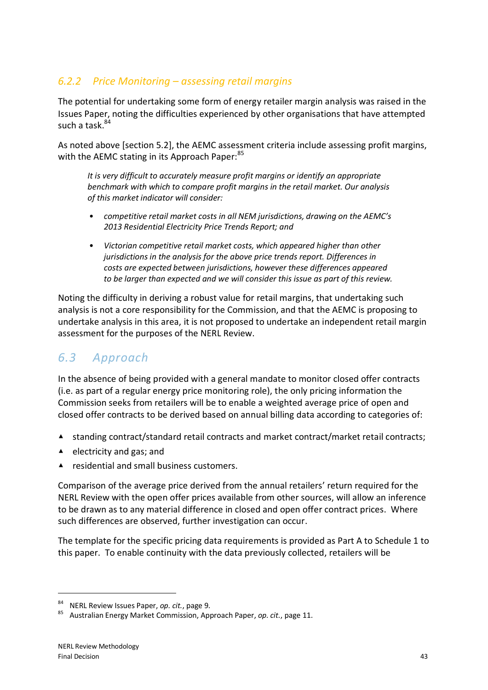### *6.2.2 Price Monitoring – assessing retail margins*

The potential for undertaking some form of energy retailer margin analysis was raised in the Issues Paper, noting the difficulties experienced by other organisations that have attempted such a task. 84

As noted above [section 5.2], the AEMC assessment criteria include assessing profit margins, with the AEMC stating in its Approach Paper: 85

*It is very difficult to accurately measure profit margins or identify an appropriate benchmark with which to compare profit margins in the retail market. Our analysis of this market indicator will consider:* 

- *competitive retail market costs in all NEM jurisdictions, drawing on the AEMC's 2013 Residential Electricity Price Trends Report; and*
- *Victorian competitive retail market costs, which appeared higher than other jurisdictions in the analysis for the above price trends report. Differences in costs are expected between jurisdictions, however these differences appeared to be larger than expected and we will consider this issue as part of this review.*

Noting the difficulty in deriving a robust value for retail margins, that undertaking such analysis is not a core responsibility for the Commission, and that the AEMC is proposing to undertake analysis in this area, it is not proposed to undertake an independent retail margin assessment for the purposes of the NERL Review.

## *6.3 Approach*

In the absence of being provided with a general mandate to monitor closed offer contracts (i.e. as part of a regular energy price monitoring role), the only pricing information the Commission seeks from retailers will be to enable a weighted average price of open and closed offer contracts to be derived based on annual billing data according to categories of:

- ▲ standing contract/standard retail contracts and market contract/market retail contracts;
- ▲ electricity and gas; and
- ▲ residential and small business customers.

Comparison of the average price derived from the annual retailers' return required for the NERL Review with the open offer prices available from other sources, will allow an inference to be drawn as to any material difference in closed and open offer contract prices. Where such differences are observed, further investigation can occur.

The template for the specific pricing data requirements is provided as Part A to Schedule 1 to this paper. To enable continuity with the data previously collected, retailers will be

<sup>84</sup> NERL Review Issues Paper, *op. cit.*, page 9.

<sup>85</sup> Australian Energy Market Commission, Approach Paper, *op. cit.*, page 11.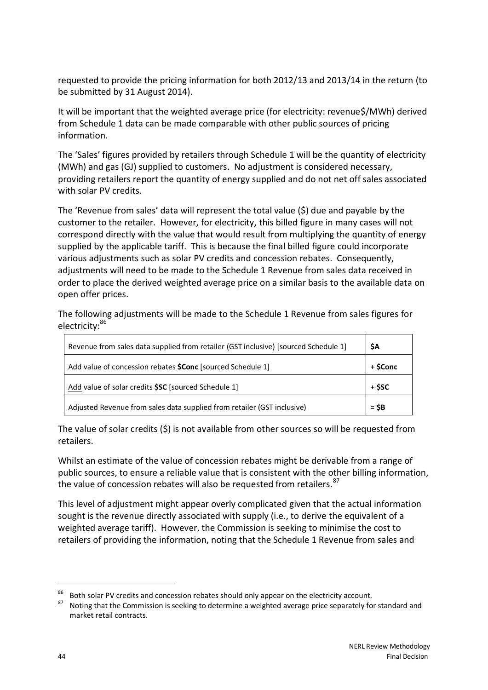requested to provide the pricing information for both 2012/13 and 2013/14 in the return (to be submitted by 31 August 2014).

It will be important that the weighted average price (for electricity: revenue\$/MWh) derived from Schedule 1 data can be made comparable with other public sources of pricing information.

The 'Sales' figures provided by retailers through Schedule 1 will be the quantity of electricity (MWh) and gas (GJ) supplied to customers. No adjustment is considered necessary, providing retailers report the quantity of energy supplied and do not net off sales associated with solar PV credits.

The 'Revenue from sales' data will represent the total value (\$) due and payable by the customer to the retailer. However, for electricity, this billed figure in many cases will not correspond directly with the value that would result from multiplying the quantity of energy supplied by the applicable tariff. This is because the final billed figure could incorporate various adjustments such as solar PV credits and concession rebates. Consequently, adjustments will need to be made to the Schedule 1 Revenue from sales data received in order to place the derived weighted average price on a similar basis to the available data on open offer prices.

The following adjustments will be made to the Schedule 1 Revenue from sales figures for electricity:<sup>86</sup>

| Revenue from sales data supplied from retailer (GST inclusive) [sourced Schedule 1] | \$A      |
|-------------------------------------------------------------------------------------|----------|
| Add value of concession rebates \$Conc [sourced Schedule 1]                         | + \$Conc |
| Add value of solar credits \$SC [sourced Schedule 1]                                | + \$SC   |
| Adjusted Revenue from sales data supplied from retailer (GST inclusive)             | $=$ SB   |

The value of solar credits  $(\xi)$  is not available from other sources so will be requested from retailers.

Whilst an estimate of the value of concession rebates might be derivable from a range of public sources, to ensure a reliable value that is consistent with the other billing information, the value of concession rebates will also be requested from retailers. 87

This level of adjustment might appear overly complicated given that the actual information sought is the revenue directly associated with supply (i.e., to derive the equivalent of a weighted average tariff). However, the Commission is seeking to minimise the cost to retailers of providing the information, noting that the Schedule 1 Revenue from sales and

<sup>&</sup>lt;sup>86</sup> Both solar PV credits and concession rebates should only appear on the electricity account.<br><sup>87</sup> Native that the Commission is socking to determine a unighted average price concrete that

Noting that the Commission is seeking to determine a weighted average price separately for standard and market retail contracts.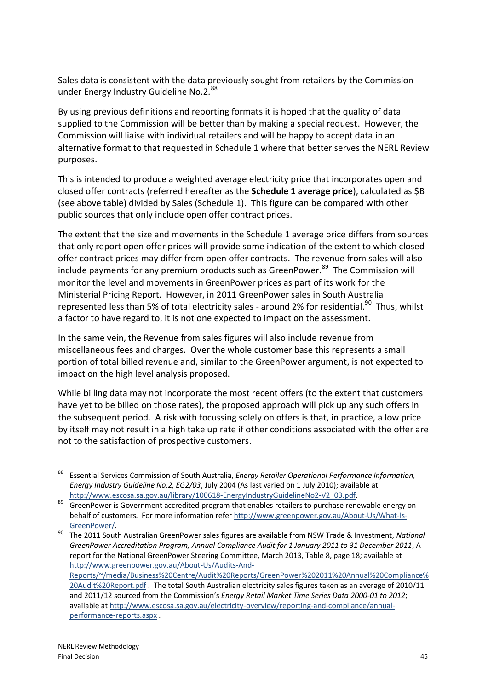Sales data is consistent with the data previously sought from retailers by the Commission under Energy Industry Guideline No.2.<sup>88</sup>

By using previous definitions and reporting formats it is hoped that the quality of data supplied to the Commission will be better than by making a special request. However, the Commission will liaise with individual retailers and will be happy to accept data in an alternative format to that requested in Schedule 1 where that better serves the NERL Review purposes.

This is intended to produce a weighted average electricity price that incorporates open and closed offer contracts (referred hereafter as the **Schedule 1 average price**), calculated as \$B (see above table) divided by Sales (Schedule 1). This figure can be compared with other public sources that only include open offer contract prices.

The extent that the size and movements in the Schedule 1 average price differs from sources that only report open offer prices will provide some indication of the extent to which closed offer contract prices may differ from open offer contracts. The revenue from sales will also include payments for any premium products such as GreenPower.<sup>89</sup> The Commission will monitor the level and movements in GreenPower prices as part of its work for the Ministerial Pricing Report. However, in 2011 GreenPower sales in South Australia represented less than 5% of total electricity sales - around 2% for residential.<sup>90</sup> Thus, whilst a factor to have regard to, it is not one expected to impact on the assessment.

In the same vein, the Revenue from sales figures will also include revenue from miscellaneous fees and charges. Over the whole customer base this represents a small portion of total billed revenue and, similar to the GreenPower argument, is not expected to impact on the high level analysis proposed.

While billing data may not incorporate the most recent offers (to the extent that customers have yet to be billed on those rates), the proposed approach will pick up any such offers in the subsequent period. A risk with focussing solely on offers is that, in practice, a low price by itself may not result in a high take up rate if other conditions associated with the offer are not to the satisfaction of prospective customers.

<sup>88</sup> Essential Services Commission of South Australia, *Energy Retailer Operational Performance Information, Energy Industry Guideline No.2, EG2/03*, July 2004 (As last varied on 1 July 2010); available at [http://www.escosa.sa.gov.au/library/100618-EnergyIndustryGuidelineNo2-V2\\_03.pdf.](http://www.escosa.sa.gov.au/library/100618-EnergyIndustryGuidelineNo2-V2_03.pdf)

<sup>&</sup>lt;sup>89</sup> GreenPower is Government accredited program that enables retailers to purchase renewable energy on behalf of customers. For more information refer [http://www.greenpower.gov.au/About-Us/What-Is-](http://www.greenpower.gov.au/About-Us/What-Is-GreenPower/)[GreenPower/.](http://www.greenpower.gov.au/About-Us/What-Is-GreenPower/)

<sup>90</sup> The 2011 South Australian GreenPower sales figures are available from NSW Trade & Investment, *National GreenPower Accreditation Program, Annual Compliance Audit for 1 January 2011 to 31 December 2011*, A report for the National GreenPower Steering Committee, March 2013, Table 8, page 18; available at [http://www.greenpower.gov.au/About-Us/Audits-And-](http://www.greenpower.gov.au/About-Us/Audits-And-Reports/~/media/Business%20Centre/Audit%20Reports/GreenPower%202011%20Annual%20Compliance%20Audit%20Report.pdf)

[Reports/~/media/Business%20Centre/Audit%20Reports/GreenPower%202011%20Annual%20Compliance%](http://www.greenpower.gov.au/About-Us/Audits-And-Reports/~/media/Business%20Centre/Audit%20Reports/GreenPower%202011%20Annual%20Compliance%20Audit%20Report.pdf) [20Audit%20Report.pdf](http://www.greenpower.gov.au/About-Us/Audits-And-Reports/~/media/Business%20Centre/Audit%20Reports/GreenPower%202011%20Annual%20Compliance%20Audit%20Report.pdf) . The total South Australian electricity sales figures taken as an average of 2010/11 and 2011/12 sourced from the Commission's *Energy Retail Market Time Series Data 2000-01 to 2012*; available at [http://www.escosa.sa.gov.au/electricity-overview/reporting-and-compliance/annual](http://www.escosa.sa.gov.au/electricity-overview/reporting-and-compliance/annual-performance-reports.aspx)[performance-reports.aspx](http://www.escosa.sa.gov.au/electricity-overview/reporting-and-compliance/annual-performance-reports.aspx) .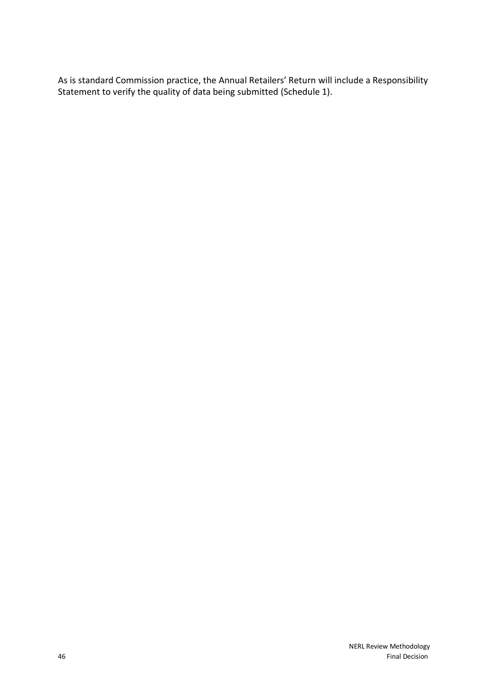As is standard Commission practice, the Annual Retailers' Return will include a Responsibility Statement to verify the quality of data being submitted (Schedule 1).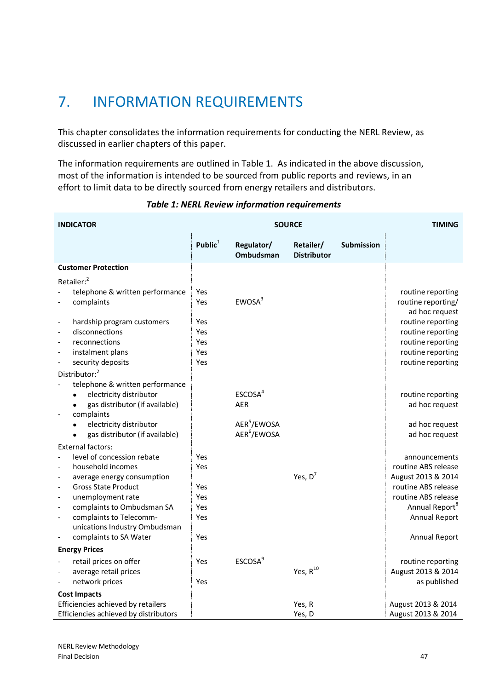# <span id="page-52-0"></span>7. INFORMATION REQUIREMENTS

This chapter consolidates the information requirements for conducting the NERL Review, as discussed in earlier chapters of this paper.

The information requirements are outlined in Table 1. As indicated in the above discussion, most of the information is intended to be sourced from public reports and reviews, in an effort to limit data to be directly sourced from energy retailers and distributors.

| <b>SOURCE</b><br><b>INDICATOR</b>                                                                                                                                                                                                                   |                                 |                                                    |                                 | <b>TIMING</b> |                                                                                                                 |
|-----------------------------------------------------------------------------------------------------------------------------------------------------------------------------------------------------------------------------------------------------|---------------------------------|----------------------------------------------------|---------------------------------|---------------|-----------------------------------------------------------------------------------------------------------------|
|                                                                                                                                                                                                                                                     | Public $1$                      | Regulator/<br>Ombudsman                            | Retailer/<br><b>Distributor</b> | Submission    |                                                                                                                 |
| <b>Customer Protection</b>                                                                                                                                                                                                                          |                                 |                                                    |                                 |               |                                                                                                                 |
| Retailer: <sup>2</sup><br>telephone & written performance<br>complaints                                                                                                                                                                             | Yes<br>Yes                      | EWOSA <sup>3</sup>                                 |                                 |               | routine reporting<br>routine reporting/<br>ad hoc request                                                       |
| hardship program customers<br>disconnections<br>$\overline{\phantom{a}}$<br>reconnections<br>instalment plans<br>$\overline{\phantom{a}}$<br>security deposits                                                                                      | Yes<br>Yes<br>Yes<br>Yes<br>Yes |                                                    |                                 |               | routine reporting<br>routine reporting<br>routine reporting<br>routine reporting<br>routine reporting           |
| Distributor: <sup>2</sup><br>telephone & written performance<br>electricity distributor<br>gas distributor (if available)                                                                                                                           |                                 | ESCOSA <sup>4</sup><br><b>AER</b>                  |                                 |               | routine reporting<br>ad hoc request                                                                             |
| complaints<br>electricity distributor<br>gas distributor (if available)<br>$\bullet$                                                                                                                                                                |                                 | AER <sup>5</sup> /EWOSA<br>AER <sup>6</sup> /EWOSA |                                 |               | ad hoc request<br>ad hoc request                                                                                |
| <b>External factors:</b><br>level of concession rebate<br>household incomes                                                                                                                                                                         | Yes<br>Yes                      |                                                    |                                 |               | announcements<br>routine ABS release                                                                            |
| average energy consumption<br>$\overline{\phantom{a}}$<br><b>Gross State Product</b><br>$\overline{\phantom{a}}$<br>unemployment rate<br>complaints to Ombudsman SA<br>$\tilde{\phantom{a}}$<br>complaints to Telecomm-<br>$\overline{\phantom{a}}$ | Yes<br>Yes<br>Yes<br>Yes        |                                                    | Yes, $D^7$                      |               | August 2013 & 2014<br>routine ABS release<br>routine ABS release<br>Annual Report <sup>8</sup><br>Annual Report |
| unications Industry Ombudsman<br>complaints to SA Water                                                                                                                                                                                             | Yes                             |                                                    |                                 |               | Annual Report                                                                                                   |
| <b>Energy Prices</b><br>retail prices on offer<br>average retail prices<br>network prices                                                                                                                                                           | Yes<br>Yes                      | ESCOSA <sup>9</sup>                                | Yes, R <sup>10</sup>            |               | routine reporting<br>August 2013 & 2014<br>as published                                                         |
| <b>Cost Impacts</b>                                                                                                                                                                                                                                 |                                 |                                                    |                                 |               |                                                                                                                 |
| Efficiencies achieved by retailers<br>Efficiencies achieved by distributors                                                                                                                                                                         |                                 |                                                    | Yes, R<br>Yes, D                |               | August 2013 & 2014<br>August 2013 & 2014                                                                        |

### *Table 1: NERL Review information requirements*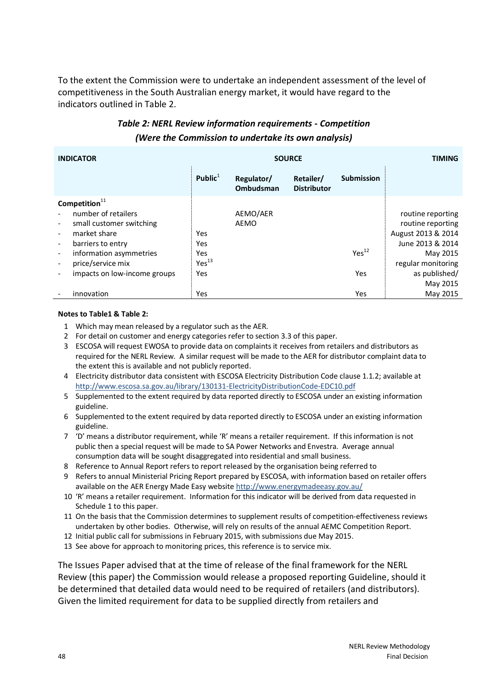To the extent the Commission were to undertake an independent assessment of the level of competitiveness in the South Australian energy market, it would have regard to the indicators outlined in Table 2.

### *Table 2: NERL Review information requirements - Competition (Were the Commission to undertake its own analysis)*

| <b>INDICATOR</b>                                     | <b>SOURCE</b>     |                         |                                 | TIMING            |                    |
|------------------------------------------------------|-------------------|-------------------------|---------------------------------|-------------------|--------------------|
|                                                      | Public $1$        | Regulator/<br>Ombudsman | Retailer/<br><b>Distributor</b> | <b>Submission</b> |                    |
| Competition $11$                                     |                   |                         |                                 |                   |                    |
| number of retailers                                  |                   | AEMO/AER                |                                 |                   | routine reporting  |
| small customer switching<br>$\overline{\phantom{a}}$ |                   | <b>AEMO</b>             |                                 |                   | routine reporting  |
| market share                                         | Yes               |                         |                                 |                   | August 2013 & 2014 |
| barriers to entry<br>$\overline{\phantom{a}}$        | Yes               |                         |                                 |                   | June 2013 & 2014   |
| information asymmetries<br>$\overline{\phantom{a}}$  | Yes               |                         |                                 | Yes <sup>12</sup> | May 2015           |
| price/service mix                                    | Yes <sup>13</sup> |                         |                                 |                   | regular monitoring |
| impacts on low-income groups                         | Yes               |                         |                                 | Yes               | as published/      |
|                                                      |                   |                         |                                 |                   | May 2015           |
| innovation                                           | Yes               |                         |                                 | Yes               | May 2015           |

#### **Notes to Table1 & Table 2:**

- 1 Which may mean released by a regulator such as the AER.
- 2 For detail on customer and energy categories refer to section 3.3 of this paper.
- 3 ESCOSA will request EWOSA to provide data on complaints it receives from retailers and distributors as required for the NERL Review. A similar request will be made to the AER for distributor complaint data to the extent this is available and not publicly reported.
- 4 Electricity distributor data consistent with ESCOSA Electricity Distribution Code clause 1.1.2; available at <http://www.escosa.sa.gov.au/library/130131-ElectricityDistributionCode-EDC10.pdf>
- 5 Supplemented to the extent required by data reported directly to ESCOSA under an existing information guideline.
- 6 Supplemented to the extent required by data reported directly to ESCOSA under an existing information guideline.
- 7 'D' means a distributor requirement, while 'R' means a retailer requirement. If this information is not public then a special request will be made to SA Power Networks and Envestra. Average annual consumption data will be sought disaggregated into residential and small business.
- 8 Reference to Annual Report refers to report released by the organisation being referred to
- 9 Refers to annual Ministerial Pricing Report prepared by ESCOSA, with information based on retailer offers available on the AER Energy Made Easy website<http://www.energymadeeasy.gov.au/>
- 10 'R' means a retailer requirement. Information for this indicator will be derived from data requested in Schedule 1 to this paper.
- 11 On the basis that the Commission determines to supplement results of competition-effectiveness reviews undertaken by other bodies. Otherwise, will rely on results of the annual AEMC Competition Report.
- 12 Initial public call for submissions in February 2015, with submissions due May 2015.
- 13 See above for approach to monitoring prices, this reference is to service mix.

The Issues Paper advised that at the time of release of the final framework for the NERL Review (this paper) the Commission would release a proposed reporting Guideline, should it be determined that detailed data would need to be required of retailers (and distributors). Given the limited requirement for data to be supplied directly from retailers and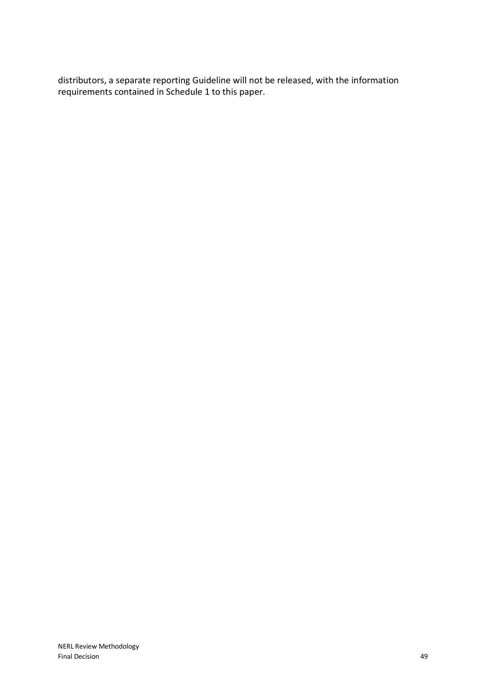distributors, a separate reporting Guideline will not be released, with the information requirements contained in Schedule 1 to this paper.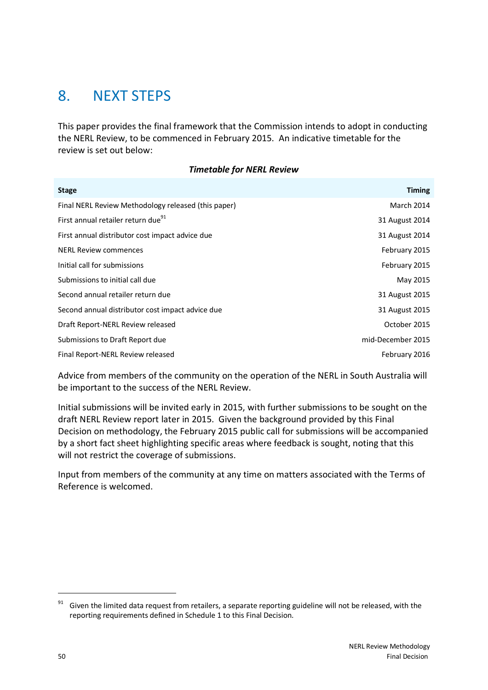## <span id="page-55-0"></span>8. NEXT STEPS

This paper provides the final framework that the Commission intends to adopt in conducting the NERL Review, to be commenced in February 2015. An indicative timetable for the review is set out below:

#### *Timetable for NERL Review*

| <b>Stage</b>                                        | <b>Timing</b>     |
|-----------------------------------------------------|-------------------|
| Final NERL Review Methodology released (this paper) | March 2014        |
| First annual retailer return due <sup>91</sup>      | 31 August 2014    |
| First annual distributor cost impact advice due     | 31 August 2014    |
| <b>NERL Review commences</b>                        | February 2015     |
| Initial call for submissions                        | February 2015     |
| Submissions to initial call due                     | May 2015          |
| Second annual retailer return due                   | 31 August 2015    |
| Second annual distributor cost impact advice due    | 31 August 2015    |
| Draft Report-NERL Review released                   | October 2015      |
| Submissions to Draft Report due                     | mid-December 2015 |
| Final Report-NERL Review released                   | February 2016     |

Advice from members of the community on the operation of the NERL in South Australia will be important to the success of the NERL Review.

Initial submissions will be invited early in 2015, with further submissions to be sought on the draft NERL Review report later in 2015. Given the background provided by this Final Decision on methodology, the February 2015 public call for submissions will be accompanied by a short fact sheet highlighting specific areas where feedback is sought, noting that this will not restrict the coverage of submissions.

Input from members of the community at any time on matters associated with the Terms of Reference is welcomed.

Given the limited data request from retailers, a separate reporting guideline will not be released, with the reporting requirements defined in Schedule 1 to this Final Decision.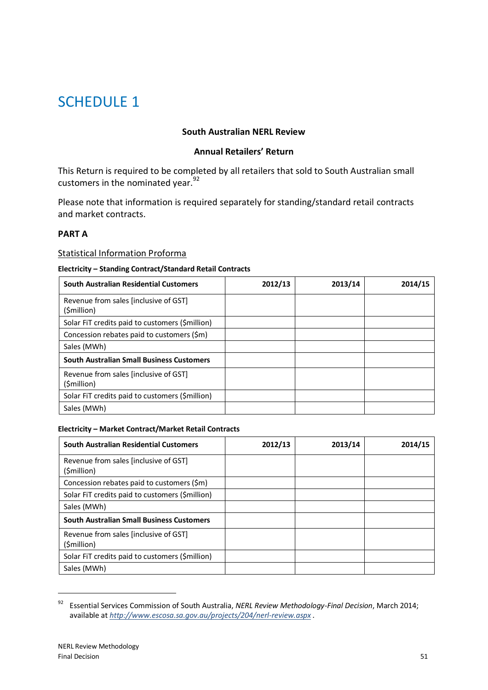## <span id="page-56-0"></span>SCHEDULE 1

### **South Australian NERL Review**

### **Annual Retailers' Return**

This Return is required to be completed by all retailers that sold to South Australian small customers in the nominated year.<sup>92</sup>

Please note that information is required separately for standing/standard retail contracts and market contracts.

### **PART A**

#### Statistical Information Proforma

#### **Electricity – Standing Contract/Standard Retail Contracts**

| South Australian Residential Customers               | 2012/13 | 2013/14 | 2014/15 |
|------------------------------------------------------|---------|---------|---------|
| Revenue from sales [inclusive of GST]<br>(\$million) |         |         |         |
| Solar FiT credits paid to customers (\$million)      |         |         |         |
| Concession rebates paid to customers (\$m)           |         |         |         |
| Sales (MWh)                                          |         |         |         |
| <b>South Australian Small Business Customers</b>     |         |         |         |
| Revenue from sales [inclusive of GST]<br>(\$million) |         |         |         |
| Solar FIT credits paid to customers (\$million)      |         |         |         |
| Sales (MWh)                                          |         |         |         |

#### **Electricity – Market Contract/Market Retail Contracts**

| South Australian Residential Customers               | 2012/13 | 2013/14 | 2014/15 |
|------------------------------------------------------|---------|---------|---------|
| Revenue from sales (inclusive of GST)<br>(\$million) |         |         |         |
| Concession rebates paid to customers (\$m)           |         |         |         |
| Solar FIT credits paid to customers (\$million)      |         |         |         |
| Sales (MWh)                                          |         |         |         |
| <b>South Australian Small Business Customers</b>     |         |         |         |
| Revenue from sales (inclusive of GST)<br>(\$million) |         |         |         |
| Solar FIT credits paid to customers (\$million)      |         |         |         |
| Sales (MWh)                                          |         |         |         |

<sup>92</sup> Essential Services Commission of South Australia, *NERL Review Methodology-Final Decision*, March 2014; available at *<http://www.escosa.sa.gov.au/projects/204/nerl-review.aspx> .*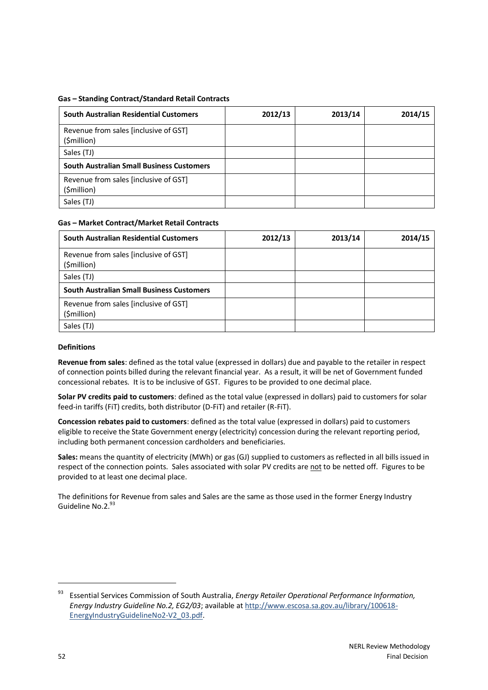#### **Gas – Standing Contract/Standard Retail Contracts**

| <b>South Australian Residential Customers</b>        | 2012/13 | 2013/14 | 2014/15 |
|------------------------------------------------------|---------|---------|---------|
| Revenue from sales [inclusive of GST]<br>(\$million) |         |         |         |
| Sales (TJ)                                           |         |         |         |
| <b>South Australian Small Business Customers</b>     |         |         |         |
| Revenue from sales [inclusive of GST]<br>(\$million) |         |         |         |
| Sales (TJ)                                           |         |         |         |

#### **Gas – Market Contract/Market Retail Contracts**

| South Australian Residential Customers               | 2012/13 | 2013/14 | 2014/15 |
|------------------------------------------------------|---------|---------|---------|
| Revenue from sales [inclusive of GST]<br>(\$million) |         |         |         |
| Sales (TJ)                                           |         |         |         |
| <b>South Australian Small Business Customers</b>     |         |         |         |
| Revenue from sales [inclusive of GST]<br>(\$million) |         |         |         |
| Sales (TJ)                                           |         |         |         |

#### **Definitions**

**Revenue from sales**: defined as the total value (expressed in dollars) due and payable to the retailer in respect of connection points billed during the relevant financial year. As a result, it will be net of Government funded concessional rebates. It is to be inclusive of GST. Figures to be provided to one decimal place.

**Solar PV credits paid to customers**: defined as the total value (expressed in dollars) paid to customers for solar feed-in tariffs (FiT) credits, both distributor (D-FiT) and retailer (R-FiT).

**Concession rebates paid to customers**: defined as the total value (expressed in dollars) paid to customers eligible to receive the State Government energy (electricity) concession during the relevant reporting period, including both permanent concession cardholders and beneficiaries.

**Sales:** means the quantity of electricity (MWh) or gas (GJ) supplied to customers as reflected in all bills issued in respect of the connection points. Sales associated with solar PV credits are not to be netted off. Figures to be provided to at least one decimal place.

The definitions for Revenue from sales and Sales are the same as those used in the former Energy Industry Guideline No.2.93

<sup>93</sup> Essential Services Commission of South Australia, *Energy Retailer Operational Performance Information, Energy Industry Guideline No.2, EG2/03*; available at [http://www.escosa.sa.gov.au/library/100618-](http://www.escosa.sa.gov.au/library/100618-EnergyIndustryGuidelineNo2-V2_03.pdf) [EnergyIndustryGuidelineNo2-V2\\_03.pdf.](http://www.escosa.sa.gov.au/library/100618-EnergyIndustryGuidelineNo2-V2_03.pdf)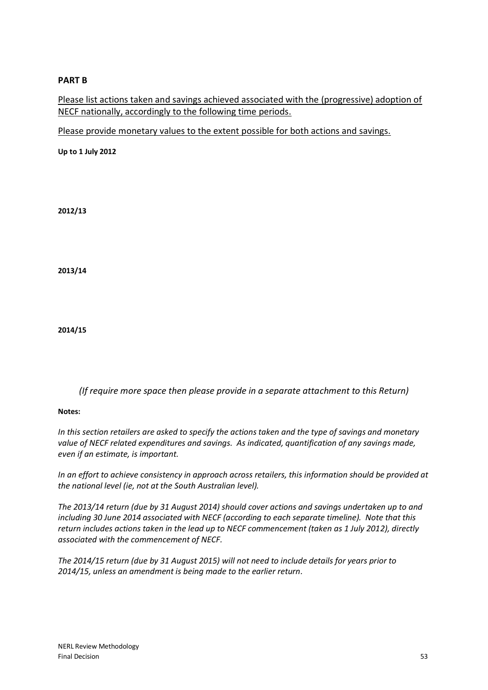### **PART B**

Please list actions taken and savings achieved associated with the (progressive) adoption of NECF nationally, accordingly to the following time periods.

Please provide monetary values to the extent possible for both actions and savings.

**Up to 1 July 2012**

**2012/13**

**2013/14**

**2014/15**

*(If require more space then please provide in a separate attachment to this Return)*

**Notes:**

*In this section retailers are asked to specify the actions taken and the type of savings and monetary value of NECF related expenditures and savings. As indicated, quantification of any savings made, even if an estimate, is important.*

*In an effort to achieve consistency in approach across retailers, this information should be provided at the national level (ie, not at the South Australian level).*

*The 2013/14 return (due by 31 August 2014) should cover actions and savings undertaken up to and including 30 June 2014 associated with NECF (according to each separate timeline). Note that this return includes actions taken in the lead up to NECF commencement (taken as 1 July 2012), directly associated with the commencement of NECF.*

*The 2014/15 return (due by 31 August 2015) will not need to include details for years prior to 2014/15, unless an amendment is being made to the earlier return.*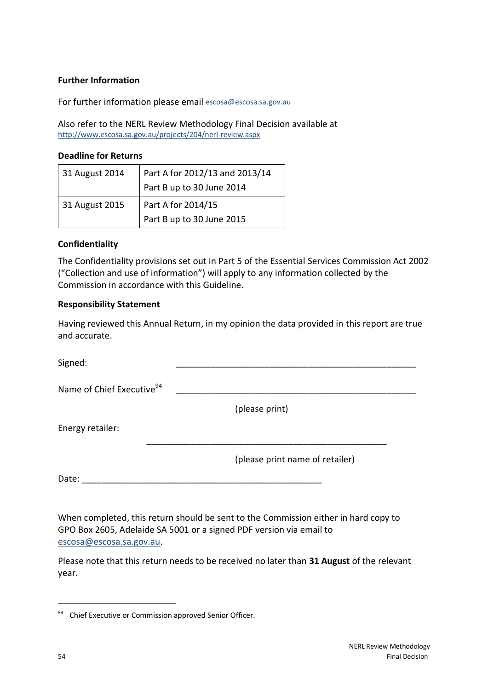### **Further Information**

For further information please email [escosa@escosa.sa.gov.au](mailto:escosa@escosa.sa.gov.au)

Also refer to the NERL Review Methodology Final Decision available at <http://www.escosa.sa.gov.au/projects/204/nerl-review.aspx>

#### **Deadline for Returns**

| 31 August 2014 | Part A for 2012/13 and 2013/14 |
|----------------|--------------------------------|
|                | Part B up to 30 June 2014      |
| 31 August 2015 | Part A for 2014/15             |
|                | Part B up to 30 June 2015      |

### **Confidentiality**

The Confidentiality provisions set out in Part 5 of the Essential Services Commission Act 2002 ("Collection and use of information") will apply to any information collected by the Commission in accordance with this Guideline.

### **Responsibility Statement**

Having reviewed this Annual Return, in my opinion the data provided in this report are true and accurate.

| (please print)                  |
|---------------------------------|
|                                 |
| (please print name of retailer) |
|                                 |
|                                 |

When completed, this return should be sent to the Commission either in hard copy to GPO Box 2605, Adelaide SA 5001 or a signed PDF version via email to [escosa@escosa.sa.gov.au.](mailto:escosa@escosa.sa.gov.au)

Please note that this return needs to be received no later than **31 August** of the relevant year.

<sup>&</sup>lt;sup>94</sup> Chief Executive or Commission approved Senior Officer.